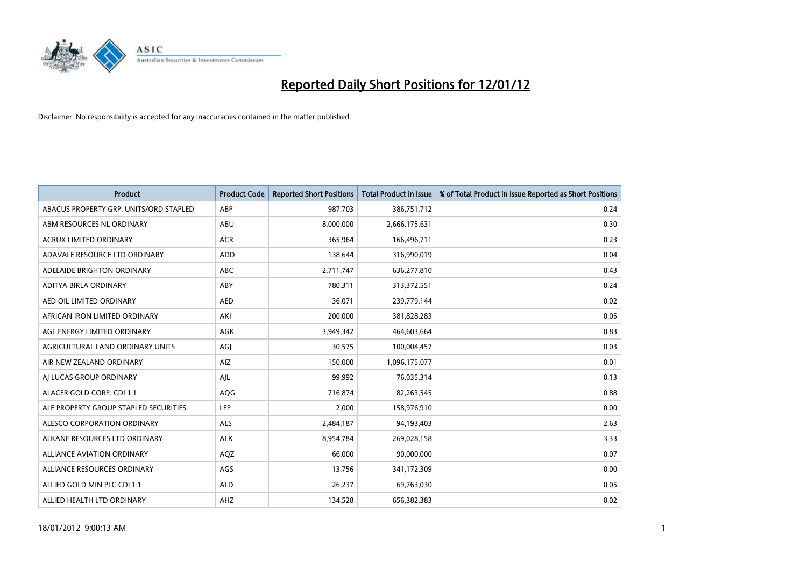

| <b>Product</b>                         | <b>Product Code</b> | <b>Reported Short Positions</b> | <b>Total Product in Issue</b> | % of Total Product in Issue Reported as Short Positions |
|----------------------------------------|---------------------|---------------------------------|-------------------------------|---------------------------------------------------------|
| ABACUS PROPERTY GRP. UNITS/ORD STAPLED | ABP                 | 987,703                         | 386,751,712                   | 0.24                                                    |
| ABM RESOURCES NL ORDINARY              | ABU                 | 8,000,000                       | 2,666,175,631                 | 0.30                                                    |
| <b>ACRUX LIMITED ORDINARY</b>          | <b>ACR</b>          | 365,964                         | 166,496,711                   | 0.23                                                    |
| ADAVALE RESOURCE LTD ORDINARY          | <b>ADD</b>          | 138,644                         | 316,990,019                   | 0.04                                                    |
| ADELAIDE BRIGHTON ORDINARY             | <b>ABC</b>          | 2,711,747                       | 636,277,810                   | 0.43                                                    |
| ADITYA BIRLA ORDINARY                  | ABY                 | 780,311                         | 313,372,551                   | 0.24                                                    |
| AED OIL LIMITED ORDINARY               | <b>AED</b>          | 36,071                          | 239,779,144                   | 0.02                                                    |
| AFRICAN IRON LIMITED ORDINARY          | AKI                 | 200,000                         | 381,828,283                   | 0.05                                                    |
| AGL ENERGY LIMITED ORDINARY            | AGK                 | 3,949,342                       | 464,603,664                   | 0.83                                                    |
| AGRICULTURAL LAND ORDINARY UNITS       | AGI                 | 30,575                          | 100,004,457                   | 0.03                                                    |
| AIR NEW ZEALAND ORDINARY               | AIZ                 | 150,000                         | 1,096,175,077                 | 0.01                                                    |
| AI LUCAS GROUP ORDINARY                | AJL                 | 99,992                          | 76,035,314                    | 0.13                                                    |
| ALACER GOLD CORP. CDI 1:1              | AQG                 | 716,874                         | 82,263,545                    | 0.88                                                    |
| ALE PROPERTY GROUP STAPLED SECURITIES  | LEP                 | 2,000                           | 158,976,910                   | 0.00                                                    |
| ALESCO CORPORATION ORDINARY            | <b>ALS</b>          | 2,484,187                       | 94,193,403                    | 2.63                                                    |
| ALKANE RESOURCES LTD ORDINARY          | <b>ALK</b>          | 8,954,784                       | 269,028,158                   | 3.33                                                    |
| ALLIANCE AVIATION ORDINARY             | AQZ                 | 66,000                          | 90,000,000                    | 0.07                                                    |
| ALLIANCE RESOURCES ORDINARY            | AGS                 | 13,756                          | 341,172,309                   | 0.00                                                    |
| ALLIED GOLD MIN PLC CDI 1:1            | <b>ALD</b>          | 26,237                          | 69,763,030                    | 0.05                                                    |
| ALLIED HEALTH LTD ORDINARY             | AHZ                 | 134,528                         | 656,382,383                   | 0.02                                                    |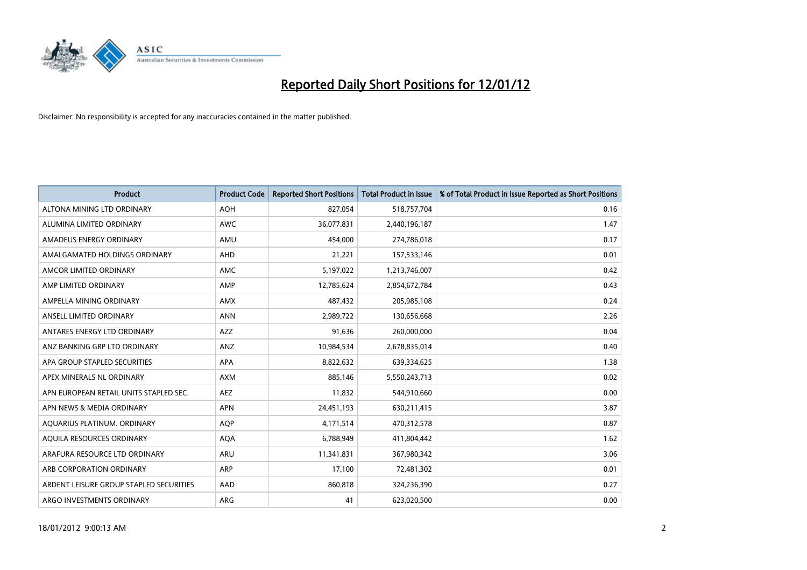

| <b>Product</b>                          | <b>Product Code</b> | <b>Reported Short Positions</b> | <b>Total Product in Issue</b> | % of Total Product in Issue Reported as Short Positions |
|-----------------------------------------|---------------------|---------------------------------|-------------------------------|---------------------------------------------------------|
| ALTONA MINING LTD ORDINARY              | <b>AOH</b>          | 827,054                         | 518,757,704                   | 0.16                                                    |
| ALUMINA LIMITED ORDINARY                | <b>AWC</b>          | 36,077,831                      | 2,440,196,187                 | 1.47                                                    |
| AMADEUS ENERGY ORDINARY                 | AMU                 | 454,000                         | 274,786,018                   | 0.17                                                    |
| AMALGAMATED HOLDINGS ORDINARY           | AHD                 | 21,221                          | 157,533,146                   | 0.01                                                    |
| AMCOR LIMITED ORDINARY                  | AMC                 | 5,197,022                       | 1,213,746,007                 | 0.42                                                    |
| AMP LIMITED ORDINARY                    | AMP                 | 12,785,624                      | 2,854,672,784                 | 0.43                                                    |
| AMPELLA MINING ORDINARY                 | AMX                 | 487,432                         | 205,985,108                   | 0.24                                                    |
| ANSELL LIMITED ORDINARY                 | <b>ANN</b>          | 2,989,722                       | 130,656,668                   | 2.26                                                    |
| ANTARES ENERGY LTD ORDINARY             | AZZ                 | 91,636                          | 260,000,000                   | 0.04                                                    |
| ANZ BANKING GRP LTD ORDINARY            | ANZ                 | 10,984,534                      | 2,678,835,014                 | 0.40                                                    |
| APA GROUP STAPLED SECURITIES            | APA                 | 8,822,632                       | 639,334,625                   | 1.38                                                    |
| APEX MINERALS NL ORDINARY               | <b>AXM</b>          | 885,146                         | 5,550,243,713                 | 0.02                                                    |
| APN EUROPEAN RETAIL UNITS STAPLED SEC.  | <b>AEZ</b>          | 11,832                          | 544,910,660                   | 0.00                                                    |
| APN NEWS & MEDIA ORDINARY               | <b>APN</b>          | 24,451,193                      | 630,211,415                   | 3.87                                                    |
| AQUARIUS PLATINUM. ORDINARY             | <b>AOP</b>          | 4,171,514                       | 470,312,578                   | 0.87                                                    |
| AQUILA RESOURCES ORDINARY               | <b>AQA</b>          | 6,788,949                       | 411,804,442                   | 1.62                                                    |
| ARAFURA RESOURCE LTD ORDINARY           | ARU                 | 11,341,831                      | 367,980,342                   | 3.06                                                    |
| ARB CORPORATION ORDINARY                | ARP                 | 17,100                          | 72,481,302                    | 0.01                                                    |
| ARDENT LEISURE GROUP STAPLED SECURITIES | AAD                 | 860,818                         | 324,236,390                   | 0.27                                                    |
| ARGO INVESTMENTS ORDINARY               | ARG                 | 41                              | 623,020,500                   | 0.00                                                    |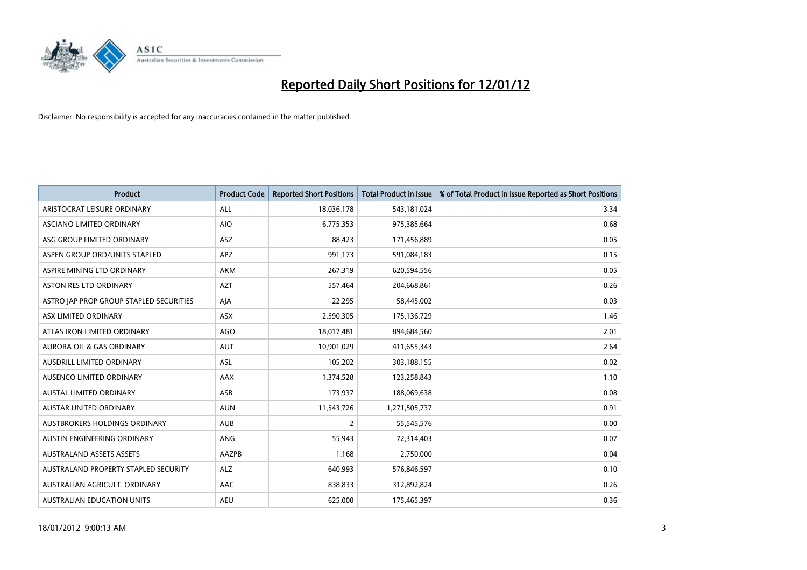

| <b>Product</b>                          | <b>Product Code</b> | <b>Reported Short Positions</b> | <b>Total Product in Issue</b> | % of Total Product in Issue Reported as Short Positions |
|-----------------------------------------|---------------------|---------------------------------|-------------------------------|---------------------------------------------------------|
| ARISTOCRAT LEISURE ORDINARY             | ALL                 | 18,036,178                      | 543,181,024                   | 3.34                                                    |
| ASCIANO LIMITED ORDINARY                | <b>AIO</b>          | 6,775,353                       | 975,385,664                   | 0.68                                                    |
| ASG GROUP LIMITED ORDINARY              | ASZ                 | 88,423                          | 171,456,889                   | 0.05                                                    |
| ASPEN GROUP ORD/UNITS STAPLED           | <b>APZ</b>          | 991,173                         | 591,084,183                   | 0.15                                                    |
| ASPIRE MINING LTD ORDINARY              | AKM                 | 267,319                         | 620,594,556                   | 0.05                                                    |
| ASTON RES LTD ORDINARY                  | <b>AZT</b>          | 557,464                         | 204,668,861                   | 0.26                                                    |
| ASTRO JAP PROP GROUP STAPLED SECURITIES | AJA                 | 22,295                          | 58,445,002                    | 0.03                                                    |
| ASX LIMITED ORDINARY                    | ASX                 | 2,590,305                       | 175,136,729                   | 1.46                                                    |
| ATLAS IRON LIMITED ORDINARY             | <b>AGO</b>          | 18,017,481                      | 894,684,560                   | 2.01                                                    |
| <b>AURORA OIL &amp; GAS ORDINARY</b>    | <b>AUT</b>          | 10,901,029                      | 411,655,343                   | 2.64                                                    |
| AUSDRILL LIMITED ORDINARY               | ASL                 | 105,202                         | 303,188,155                   | 0.02                                                    |
| AUSENCO LIMITED ORDINARY                | AAX                 | 1,374,528                       | 123,258,843                   | 1.10                                                    |
| AUSTAL LIMITED ORDINARY                 | ASB                 | 173,937                         | 188,069,638                   | 0.08                                                    |
| <b>AUSTAR UNITED ORDINARY</b>           | <b>AUN</b>          | 11,543,726                      | 1,271,505,737                 | 0.91                                                    |
| AUSTBROKERS HOLDINGS ORDINARY           | <b>AUB</b>          | $\overline{2}$                  | 55,545,576                    | 0.00                                                    |
| AUSTIN ENGINEERING ORDINARY             | ANG                 | 55,943                          | 72,314,403                    | 0.07                                                    |
| <b>AUSTRALAND ASSETS ASSETS</b>         | AAZPB               | 1,168                           | 2,750,000                     | 0.04                                                    |
| AUSTRALAND PROPERTY STAPLED SECURITY    | <b>ALZ</b>          | 640,993                         | 576,846,597                   | 0.10                                                    |
| AUSTRALIAN AGRICULT, ORDINARY           | <b>AAC</b>          | 838,833                         | 312,892,824                   | 0.26                                                    |
| AUSTRALIAN EDUCATION UNITS              | <b>AEU</b>          | 625,000                         | 175,465,397                   | 0.36                                                    |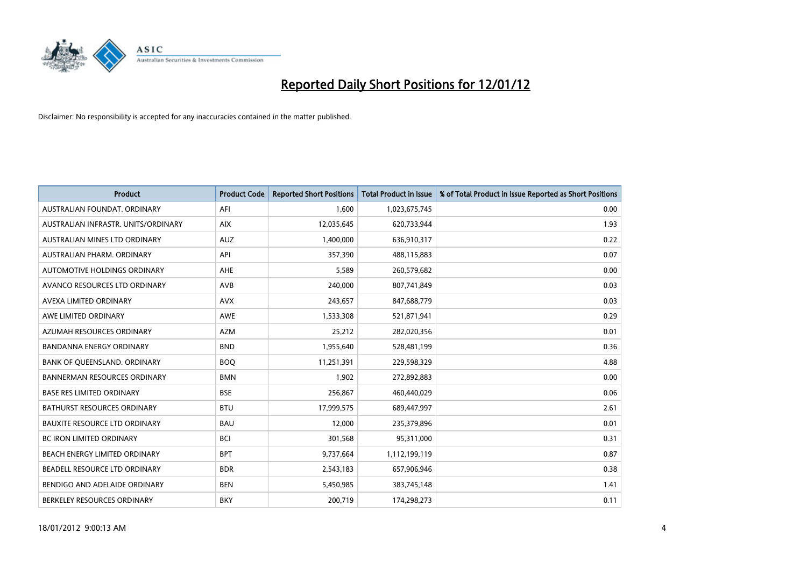

| <b>Product</b>                       | <b>Product Code</b> | <b>Reported Short Positions</b> | <b>Total Product in Issue</b> | % of Total Product in Issue Reported as Short Positions |
|--------------------------------------|---------------------|---------------------------------|-------------------------------|---------------------------------------------------------|
| AUSTRALIAN FOUNDAT, ORDINARY         | AFI                 | 1,600                           | 1,023,675,745                 | 0.00                                                    |
| AUSTRALIAN INFRASTR. UNITS/ORDINARY  | <b>AIX</b>          | 12,035,645                      | 620,733,944                   | 1.93                                                    |
| AUSTRALIAN MINES LTD ORDINARY        | <b>AUZ</b>          | 1,400,000                       | 636,910,317                   | 0.22                                                    |
| AUSTRALIAN PHARM, ORDINARY           | API                 | 357,390                         | 488,115,883                   | 0.07                                                    |
| AUTOMOTIVE HOLDINGS ORDINARY         | AHE                 | 5,589                           | 260,579,682                   | 0.00                                                    |
| AVANCO RESOURCES LTD ORDINARY        | AVB                 | 240,000                         | 807,741,849                   | 0.03                                                    |
| AVEXA LIMITED ORDINARY               | <b>AVX</b>          | 243,657                         | 847,688,779                   | 0.03                                                    |
| AWE LIMITED ORDINARY                 | AWE                 | 1,533,308                       | 521,871,941                   | 0.29                                                    |
| AZUMAH RESOURCES ORDINARY            | <b>AZM</b>          | 25,212                          | 282,020,356                   | 0.01                                                    |
| <b>BANDANNA ENERGY ORDINARY</b>      | <b>BND</b>          | 1,955,640                       | 528,481,199                   | 0.36                                                    |
| BANK OF QUEENSLAND. ORDINARY         | <b>BOQ</b>          | 11,251,391                      | 229,598,329                   | 4.88                                                    |
| <b>BANNERMAN RESOURCES ORDINARY</b>  | <b>BMN</b>          | 1,902                           | 272,892,883                   | 0.00                                                    |
| <b>BASE RES LIMITED ORDINARY</b>     | <b>BSE</b>          | 256,867                         | 460,440,029                   | 0.06                                                    |
| <b>BATHURST RESOURCES ORDINARY</b>   | <b>BTU</b>          | 17,999,575                      | 689,447,997                   | 2.61                                                    |
| <b>BAUXITE RESOURCE LTD ORDINARY</b> | <b>BAU</b>          | 12,000                          | 235,379,896                   | 0.01                                                    |
| BC IRON LIMITED ORDINARY             | <b>BCI</b>          | 301,568                         | 95,311,000                    | 0.31                                                    |
| BEACH ENERGY LIMITED ORDINARY        | <b>BPT</b>          | 9,737,664                       | 1,112,199,119                 | 0.87                                                    |
| BEADELL RESOURCE LTD ORDINARY        | <b>BDR</b>          | 2,543,183                       | 657,906,946                   | 0.38                                                    |
| BENDIGO AND ADELAIDE ORDINARY        | <b>BEN</b>          | 5,450,985                       | 383,745,148                   | 1.41                                                    |
| BERKELEY RESOURCES ORDINARY          | <b>BKY</b>          | 200,719                         | 174,298,273                   | 0.11                                                    |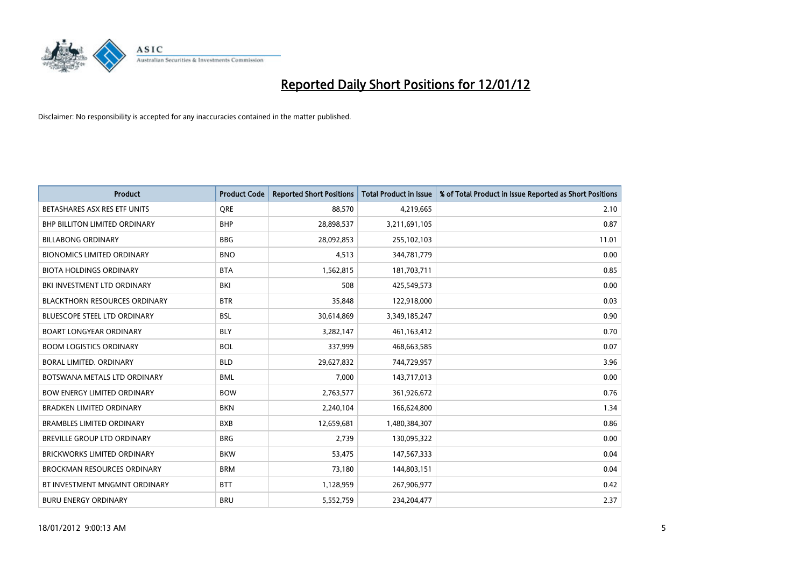

| <b>Product</b>                       | <b>Product Code</b> | <b>Reported Short Positions</b> | <b>Total Product in Issue</b> | % of Total Product in Issue Reported as Short Positions |
|--------------------------------------|---------------------|---------------------------------|-------------------------------|---------------------------------------------------------|
| BETASHARES ASX RES ETF UNITS         | <b>ORE</b>          | 88,570                          | 4,219,665                     | 2.10                                                    |
| <b>BHP BILLITON LIMITED ORDINARY</b> | <b>BHP</b>          | 28,898,537                      | 3,211,691,105                 | 0.87                                                    |
| <b>BILLABONG ORDINARY</b>            | <b>BBG</b>          | 28,092,853                      | 255,102,103                   | 11.01                                                   |
| <b>BIONOMICS LIMITED ORDINARY</b>    | <b>BNO</b>          | 4,513                           | 344,781,779                   | 0.00                                                    |
| <b>BIOTA HOLDINGS ORDINARY</b>       | <b>BTA</b>          | 1,562,815                       | 181,703,711                   | 0.85                                                    |
| BKI INVESTMENT LTD ORDINARY          | BKI                 | 508                             | 425,549,573                   | 0.00                                                    |
| <b>BLACKTHORN RESOURCES ORDINARY</b> | <b>BTR</b>          | 35,848                          | 122,918,000                   | 0.03                                                    |
| BLUESCOPE STEEL LTD ORDINARY         | <b>BSL</b>          | 30,614,869                      | 3,349,185,247                 | 0.90                                                    |
| <b>BOART LONGYEAR ORDINARY</b>       | <b>BLY</b>          | 3,282,147                       | 461,163,412                   | 0.70                                                    |
| <b>BOOM LOGISTICS ORDINARY</b>       | <b>BOL</b>          | 337,999                         | 468,663,585                   | 0.07                                                    |
| BORAL LIMITED. ORDINARY              | <b>BLD</b>          | 29,627,832                      | 744,729,957                   | 3.96                                                    |
| BOTSWANA METALS LTD ORDINARY         | <b>BML</b>          | 7,000                           | 143,717,013                   | 0.00                                                    |
| <b>BOW ENERGY LIMITED ORDINARY</b>   | <b>BOW</b>          | 2,763,577                       | 361,926,672                   | 0.76                                                    |
| <b>BRADKEN LIMITED ORDINARY</b>      | <b>BKN</b>          | 2,240,104                       | 166,624,800                   | 1.34                                                    |
| <b>BRAMBLES LIMITED ORDINARY</b>     | <b>BXB</b>          | 12,659,681                      | 1,480,384,307                 | 0.86                                                    |
| BREVILLE GROUP LTD ORDINARY          | <b>BRG</b>          | 2,739                           | 130,095,322                   | 0.00                                                    |
| BRICKWORKS LIMITED ORDINARY          | <b>BKW</b>          | 53,475                          | 147,567,333                   | 0.04                                                    |
| <b>BROCKMAN RESOURCES ORDINARY</b>   | <b>BRM</b>          | 73,180                          | 144,803,151                   | 0.04                                                    |
| BT INVESTMENT MNGMNT ORDINARY        | <b>BTT</b>          | 1,128,959                       | 267,906,977                   | 0.42                                                    |
| <b>BURU ENERGY ORDINARY</b>          | <b>BRU</b>          | 5,552,759                       | 234,204,477                   | 2.37                                                    |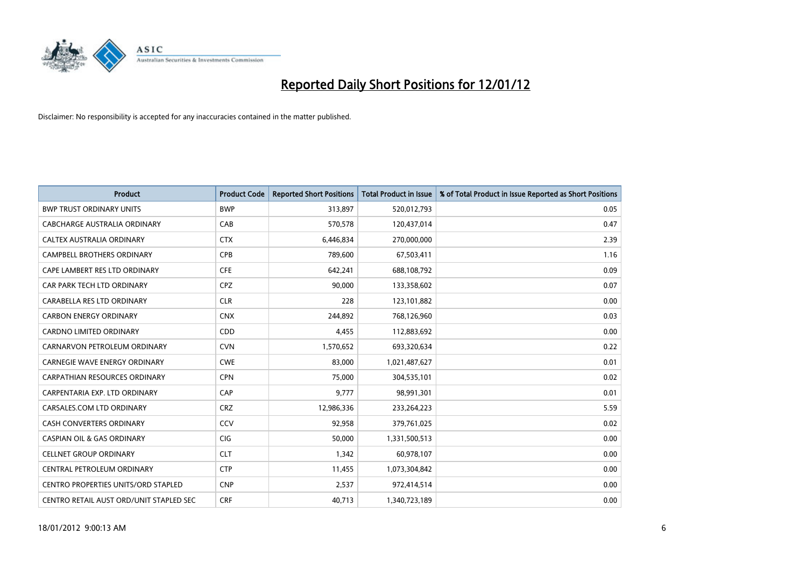

| Product                                    | <b>Product Code</b> | <b>Reported Short Positions</b> | <b>Total Product in Issue</b> | % of Total Product in Issue Reported as Short Positions |
|--------------------------------------------|---------------------|---------------------------------|-------------------------------|---------------------------------------------------------|
| <b>BWP TRUST ORDINARY UNITS</b>            | <b>BWP</b>          | 313,897                         | 520,012,793                   | 0.05                                                    |
| CABCHARGE AUSTRALIA ORDINARY               | CAB                 | 570,578                         | 120,437,014                   | 0.47                                                    |
| CALTEX AUSTRALIA ORDINARY                  | <b>CTX</b>          | 6,446,834                       | 270,000,000                   | 2.39                                                    |
| CAMPBELL BROTHERS ORDINARY                 | <b>CPB</b>          | 789,600                         | 67,503,411                    | 1.16                                                    |
| CAPE LAMBERT RES LTD ORDINARY              | <b>CFE</b>          | 642,241                         | 688,108,792                   | 0.09                                                    |
| CAR PARK TECH LTD ORDINARY                 | <b>CPZ</b>          | 90,000                          | 133,358,602                   | 0.07                                                    |
| CARABELLA RES LTD ORDINARY                 | <b>CLR</b>          | 228                             | 123,101,882                   | 0.00                                                    |
| <b>CARBON ENERGY ORDINARY</b>              | <b>CNX</b>          | 244,892                         | 768,126,960                   | 0.03                                                    |
| CARDNO LIMITED ORDINARY                    | CDD                 | 4,455                           | 112,883,692                   | 0.00                                                    |
| CARNARVON PETROLEUM ORDINARY               | <b>CVN</b>          | 1,570,652                       | 693,320,634                   | 0.22                                                    |
| <b>CARNEGIE WAVE ENERGY ORDINARY</b>       | <b>CWE</b>          | 83,000                          | 1,021,487,627                 | 0.01                                                    |
| <b>CARPATHIAN RESOURCES ORDINARY</b>       | <b>CPN</b>          | 75,000                          | 304,535,101                   | 0.02                                                    |
| CARPENTARIA EXP. LTD ORDINARY              | CAP                 | 9,777                           | 98,991,301                    | 0.01                                                    |
| CARSALES.COM LTD ORDINARY                  | <b>CRZ</b>          | 12,986,336                      | 233,264,223                   | 5.59                                                    |
| <b>CASH CONVERTERS ORDINARY</b>            | CCV                 | 92,958                          | 379,761,025                   | 0.02                                                    |
| CASPIAN OIL & GAS ORDINARY                 | CIG                 | 50,000                          | 1,331,500,513                 | 0.00                                                    |
| <b>CELLNET GROUP ORDINARY</b>              | <b>CLT</b>          | 1,342                           | 60,978,107                    | 0.00                                                    |
| CENTRAL PETROLEUM ORDINARY                 | <b>CTP</b>          | 11,455                          | 1,073,304,842                 | 0.00                                                    |
| <b>CENTRO PROPERTIES UNITS/ORD STAPLED</b> | <b>CNP</b>          | 2,537                           | 972,414,514                   | 0.00                                                    |
| CENTRO RETAIL AUST ORD/UNIT STAPLED SEC    | <b>CRF</b>          | 40,713                          | 1,340,723,189                 | 0.00                                                    |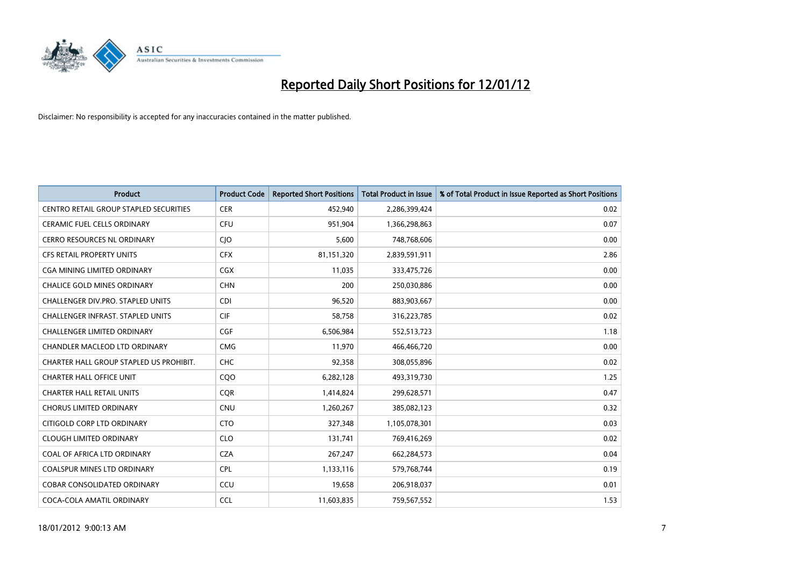

| <b>Product</b>                                | <b>Product Code</b> | <b>Reported Short Positions</b> | <b>Total Product in Issue</b> | % of Total Product in Issue Reported as Short Positions |
|-----------------------------------------------|---------------------|---------------------------------|-------------------------------|---------------------------------------------------------|
| <b>CENTRO RETAIL GROUP STAPLED SECURITIES</b> | <b>CER</b>          | 452,940                         | 2,286,399,424                 | 0.02                                                    |
| CERAMIC FUEL CELLS ORDINARY                   | <b>CFU</b>          | 951,904                         | 1,366,298,863                 | 0.07                                                    |
| <b>CERRO RESOURCES NL ORDINARY</b>            | CJO                 | 5,600                           | 748,768,606                   | 0.00                                                    |
| CFS RETAIL PROPERTY UNITS                     | <b>CFX</b>          | 81,151,320                      | 2,839,591,911                 | 2.86                                                    |
| <b>CGA MINING LIMITED ORDINARY</b>            | <b>CGX</b>          | 11,035                          | 333,475,726                   | 0.00                                                    |
| <b>CHALICE GOLD MINES ORDINARY</b>            | <b>CHN</b>          | 200                             | 250,030,886                   | 0.00                                                    |
| CHALLENGER DIV.PRO. STAPLED UNITS             | <b>CDI</b>          | 96,520                          | 883,903,667                   | 0.00                                                    |
| CHALLENGER INFRAST. STAPLED UNITS             | <b>CIF</b>          | 58,758                          | 316,223,785                   | 0.02                                                    |
| <b>CHALLENGER LIMITED ORDINARY</b>            | <b>CGF</b>          | 6,506,984                       | 552,513,723                   | 1.18                                                    |
| CHANDLER MACLEOD LTD ORDINARY                 | <b>CMG</b>          | 11,970                          | 466,466,720                   | 0.00                                                    |
| CHARTER HALL GROUP STAPLED US PROHIBIT.       | <b>CHC</b>          | 92,358                          | 308,055,896                   | 0.02                                                    |
| <b>CHARTER HALL OFFICE UNIT</b>               | CQ <sub>O</sub>     | 6,282,128                       | 493,319,730                   | 1.25                                                    |
| <b>CHARTER HALL RETAIL UNITS</b>              | <b>COR</b>          | 1,414,824                       | 299,628,571                   | 0.47                                                    |
| <b>CHORUS LIMITED ORDINARY</b>                | <b>CNU</b>          | 1,260,267                       | 385,082,123                   | 0.32                                                    |
| CITIGOLD CORP LTD ORDINARY                    | <b>CTO</b>          | 327,348                         | 1,105,078,301                 | 0.03                                                    |
| <b>CLOUGH LIMITED ORDINARY</b>                | <b>CLO</b>          | 131,741                         | 769,416,269                   | 0.02                                                    |
| COAL OF AFRICA LTD ORDINARY                   | <b>CZA</b>          | 267,247                         | 662,284,573                   | 0.04                                                    |
| COALSPUR MINES LTD ORDINARY                   | <b>CPL</b>          | 1,133,116                       | 579,768,744                   | 0.19                                                    |
| <b>COBAR CONSOLIDATED ORDINARY</b>            | CCU                 | 19,658                          | 206,918,037                   | 0.01                                                    |
| COCA-COLA AMATIL ORDINARY                     | <b>CCL</b>          | 11,603,835                      | 759,567,552                   | 1.53                                                    |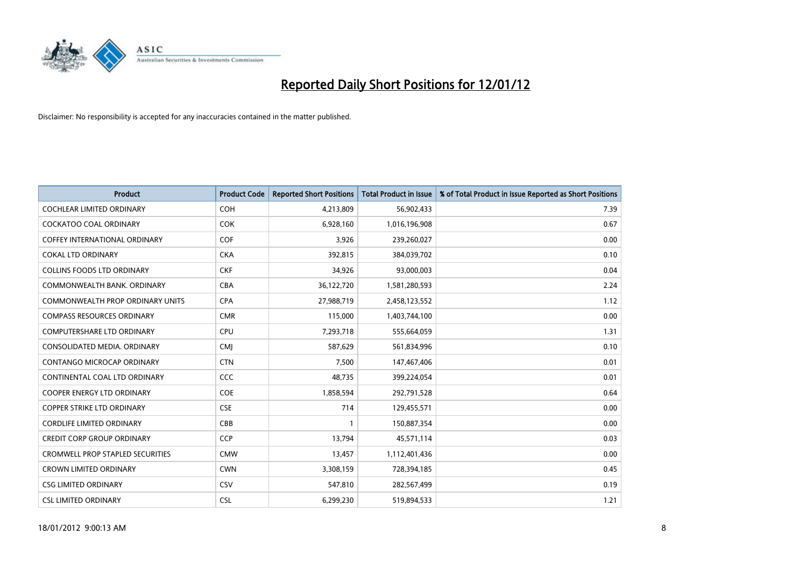

| <b>Product</b>                          | <b>Product Code</b> | <b>Reported Short Positions</b> | <b>Total Product in Issue</b> | % of Total Product in Issue Reported as Short Positions |
|-----------------------------------------|---------------------|---------------------------------|-------------------------------|---------------------------------------------------------|
| <b>COCHLEAR LIMITED ORDINARY</b>        | <b>COH</b>          | 4,213,809                       | 56,902,433                    | 7.39                                                    |
| <b>COCKATOO COAL ORDINARY</b>           | <b>COK</b>          | 6,928,160                       | 1,016,196,908                 | 0.67                                                    |
| <b>COFFEY INTERNATIONAL ORDINARY</b>    | <b>COF</b>          | 3,926                           | 239,260,027                   | 0.00                                                    |
| <b>COKAL LTD ORDINARY</b>               | <b>CKA</b>          | 392,815                         | 384,039,702                   | 0.10                                                    |
| <b>COLLINS FOODS LTD ORDINARY</b>       | <b>CKF</b>          | 34,926                          | 93,000,003                    | 0.04                                                    |
| COMMONWEALTH BANK, ORDINARY             | <b>CBA</b>          | 36,122,720                      | 1,581,280,593                 | 2.24                                                    |
| <b>COMMONWEALTH PROP ORDINARY UNITS</b> | <b>CPA</b>          | 27,988,719                      | 2,458,123,552                 | 1.12                                                    |
| <b>COMPASS RESOURCES ORDINARY</b>       | <b>CMR</b>          | 115,000                         | 1,403,744,100                 | 0.00                                                    |
| <b>COMPUTERSHARE LTD ORDINARY</b>       | <b>CPU</b>          | 7,293,718                       | 555,664,059                   | 1.31                                                    |
| CONSOLIDATED MEDIA, ORDINARY            | <b>CMI</b>          | 587,629                         | 561,834,996                   | 0.10                                                    |
| CONTANGO MICROCAP ORDINARY              | <b>CTN</b>          | 7,500                           | 147,467,406                   | 0.01                                                    |
| CONTINENTAL COAL LTD ORDINARY           | <b>CCC</b>          | 48,735                          | 399,224,054                   | 0.01                                                    |
| <b>COOPER ENERGY LTD ORDINARY</b>       | <b>COE</b>          | 1,858,594                       | 292,791,528                   | 0.64                                                    |
| <b>COPPER STRIKE LTD ORDINARY</b>       | <b>CSE</b>          | 714                             | 129,455,571                   | 0.00                                                    |
| <b>CORDLIFE LIMITED ORDINARY</b>        | CBB                 | 1                               | 150,887,354                   | 0.00                                                    |
| <b>CREDIT CORP GROUP ORDINARY</b>       | <b>CCP</b>          | 13,794                          | 45,571,114                    | 0.03                                                    |
| CROMWELL PROP STAPLED SECURITIES        | <b>CMW</b>          | 13,457                          | 1,112,401,436                 | 0.00                                                    |
| CROWN LIMITED ORDINARY                  | <b>CWN</b>          | 3,308,159                       | 728,394,185                   | 0.45                                                    |
| <b>CSG LIMITED ORDINARY</b>             | <b>CSV</b>          | 547,810                         | 282,567,499                   | 0.19                                                    |
| <b>CSL LIMITED ORDINARY</b>             | <b>CSL</b>          | 6,299,230                       | 519,894,533                   | 1.21                                                    |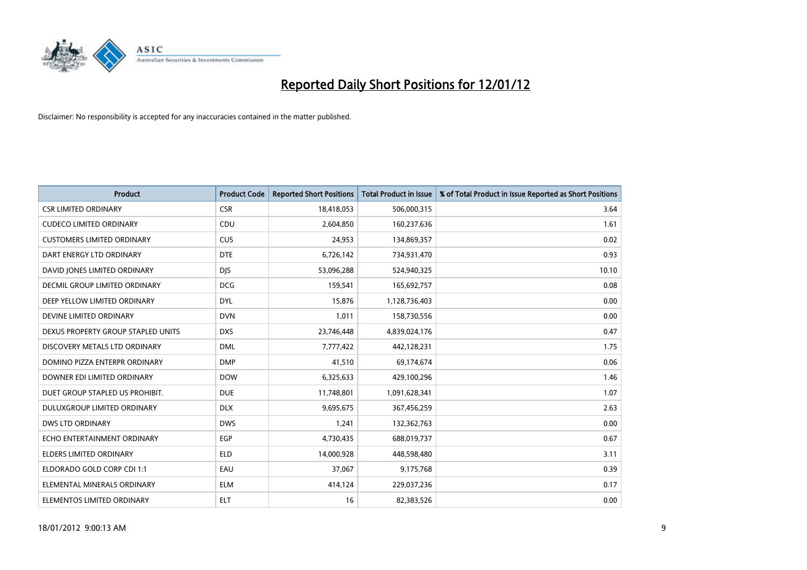

| <b>Product</b>                     | <b>Product Code</b> | <b>Reported Short Positions</b> | <b>Total Product in Issue</b> | % of Total Product in Issue Reported as Short Positions |
|------------------------------------|---------------------|---------------------------------|-------------------------------|---------------------------------------------------------|
| <b>CSR LIMITED ORDINARY</b>        | <b>CSR</b>          | 18,418,053                      | 506,000,315                   | 3.64                                                    |
| <b>CUDECO LIMITED ORDINARY</b>     | <b>CDU</b>          | 2,604,850                       | 160,237,636                   | 1.61                                                    |
| <b>CUSTOMERS LIMITED ORDINARY</b>  | <b>CUS</b>          | 24,953                          | 134,869,357                   | 0.02                                                    |
| DART ENERGY LTD ORDINARY           | <b>DTE</b>          | 6,726,142                       | 734,931,470                   | 0.93                                                    |
| DAVID JONES LIMITED ORDINARY       | <b>DIS</b>          | 53,096,288                      | 524,940,325                   | 10.10                                                   |
| DECMIL GROUP LIMITED ORDINARY      | <b>DCG</b>          | 159,541                         | 165,692,757                   | 0.08                                                    |
| DEEP YELLOW LIMITED ORDINARY       | <b>DYL</b>          | 15,876                          | 1,128,736,403                 | 0.00                                                    |
| DEVINE LIMITED ORDINARY            | <b>DVN</b>          | 1,011                           | 158,730,556                   | 0.00                                                    |
| DEXUS PROPERTY GROUP STAPLED UNITS | <b>DXS</b>          | 23,746,448                      | 4,839,024,176                 | 0.47                                                    |
| DISCOVERY METALS LTD ORDINARY      | <b>DML</b>          | 7,777,422                       | 442,128,231                   | 1.75                                                    |
| DOMINO PIZZA ENTERPR ORDINARY      | <b>DMP</b>          | 41,510                          | 69,174,674                    | 0.06                                                    |
| DOWNER EDI LIMITED ORDINARY        | <b>DOW</b>          | 6,325,633                       | 429,100,296                   | 1.46                                                    |
| DUET GROUP STAPLED US PROHIBIT.    | <b>DUE</b>          | 11,748,801                      | 1,091,628,341                 | 1.07                                                    |
| DULUXGROUP LIMITED ORDINARY        | <b>DLX</b>          | 9,695,675                       | 367,456,259                   | 2.63                                                    |
| <b>DWS LTD ORDINARY</b>            | <b>DWS</b>          | 1,241                           | 132,362,763                   | 0.00                                                    |
| ECHO ENTERTAINMENT ORDINARY        | <b>EGP</b>          | 4,730,435                       | 688,019,737                   | 0.67                                                    |
| ELDERS LIMITED ORDINARY            | ELD                 | 14,000,928                      | 448,598,480                   | 3.11                                                    |
| ELDORADO GOLD CORP CDI 1:1         | EAU                 | 37,067                          | 9,175,768                     | 0.39                                                    |
| ELEMENTAL MINERALS ORDINARY        | ELM                 | 414,124                         | 229,037,236                   | 0.17                                                    |
| ELEMENTOS LIMITED ORDINARY         | <b>ELT</b>          | 16                              | 82,383,526                    | 0.00                                                    |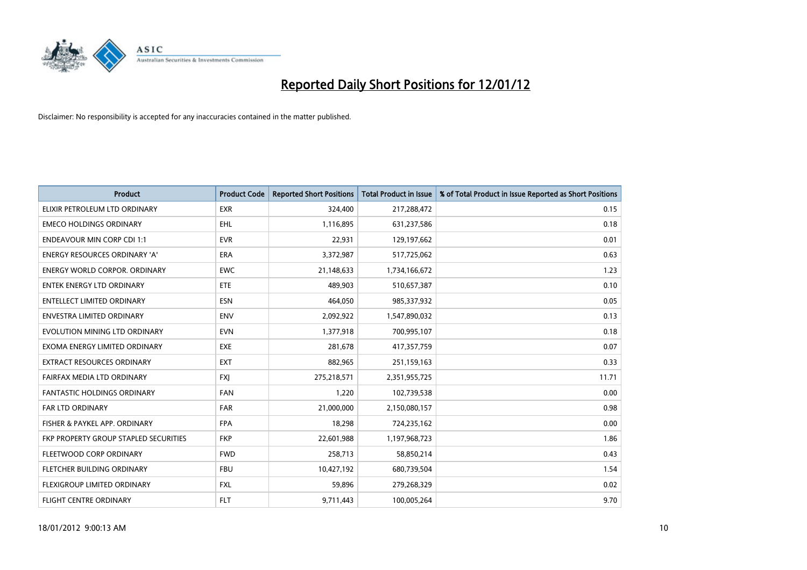

| <b>Product</b>                        | <b>Product Code</b> | <b>Reported Short Positions</b> | <b>Total Product in Issue</b> | % of Total Product in Issue Reported as Short Positions |
|---------------------------------------|---------------------|---------------------------------|-------------------------------|---------------------------------------------------------|
| ELIXIR PETROLEUM LTD ORDINARY         | <b>EXR</b>          | 324,400                         | 217,288,472                   | 0.15                                                    |
| <b>EMECO HOLDINGS ORDINARY</b>        | <b>EHL</b>          | 1,116,895                       | 631,237,586                   | 0.18                                                    |
| <b>ENDEAVOUR MIN CORP CDI 1:1</b>     | <b>EVR</b>          | 22,931                          | 129,197,662                   | 0.01                                                    |
| <b>ENERGY RESOURCES ORDINARY 'A'</b>  | <b>ERA</b>          | 3,372,987                       | 517,725,062                   | 0.63                                                    |
| <b>ENERGY WORLD CORPOR, ORDINARY</b>  | <b>EWC</b>          | 21,148,633                      | 1,734,166,672                 | 1.23                                                    |
| <b>ENTEK ENERGY LTD ORDINARY</b>      | ETE                 | 489,903                         | 510,657,387                   | 0.10                                                    |
| <b>ENTELLECT LIMITED ORDINARY</b>     | <b>ESN</b>          | 464,050                         | 985,337,932                   | 0.05                                                    |
| <b>ENVESTRA LIMITED ORDINARY</b>      | <b>ENV</b>          | 2,092,922                       | 1,547,890,032                 | 0.13                                                    |
| EVOLUTION MINING LTD ORDINARY         | <b>EVN</b>          | 1,377,918                       | 700,995,107                   | 0.18                                                    |
| EXOMA ENERGY LIMITED ORDINARY         | EXE                 | 281,678                         | 417,357,759                   | 0.07                                                    |
| EXTRACT RESOURCES ORDINARY            | <b>EXT</b>          | 882,965                         | 251,159,163                   | 0.33                                                    |
| FAIRFAX MEDIA LTD ORDINARY            | <b>FXI</b>          | 275,218,571                     | 2,351,955,725                 | 11.71                                                   |
| FANTASTIC HOLDINGS ORDINARY           | <b>FAN</b>          | 1,220                           | 102,739,538                   | 0.00                                                    |
| <b>FAR LTD ORDINARY</b>               | <b>FAR</b>          | 21,000,000                      | 2,150,080,157                 | 0.98                                                    |
| FISHER & PAYKEL APP. ORDINARY         | <b>FPA</b>          | 18,298                          | 724,235,162                   | 0.00                                                    |
| FKP PROPERTY GROUP STAPLED SECURITIES | <b>FKP</b>          | 22,601,988                      | 1,197,968,723                 | 1.86                                                    |
| FLEETWOOD CORP ORDINARY               | <b>FWD</b>          | 258,713                         | 58,850,214                    | 0.43                                                    |
| FLETCHER BUILDING ORDINARY            | <b>FBU</b>          | 10,427,192                      | 680,739,504                   | 1.54                                                    |
| FLEXIGROUP LIMITED ORDINARY           | <b>FXL</b>          | 59,896                          | 279,268,329                   | 0.02                                                    |
| <b>FLIGHT CENTRE ORDINARY</b>         | <b>FLT</b>          | 9,711,443                       | 100,005,264                   | 9.70                                                    |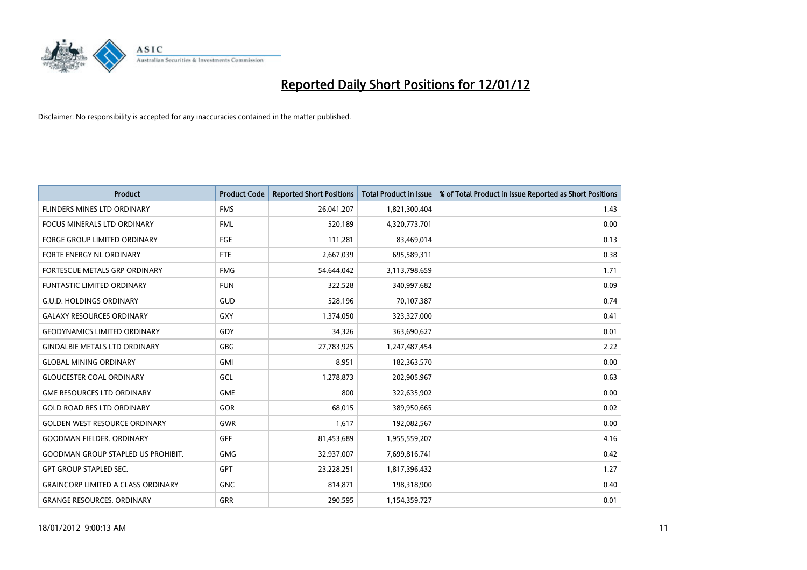

| <b>Product</b>                            | <b>Product Code</b> | <b>Reported Short Positions</b> | <b>Total Product in Issue</b> | % of Total Product in Issue Reported as Short Positions |
|-------------------------------------------|---------------------|---------------------------------|-------------------------------|---------------------------------------------------------|
| FLINDERS MINES LTD ORDINARY               | <b>FMS</b>          | 26,041,207                      | 1,821,300,404                 | 1.43                                                    |
| <b>FOCUS MINERALS LTD ORDINARY</b>        | <b>FML</b>          | 520,189                         | 4,320,773,701                 | 0.00                                                    |
| <b>FORGE GROUP LIMITED ORDINARY</b>       | FGE                 | 111,281                         | 83,469,014                    | 0.13                                                    |
| FORTE ENERGY NL ORDINARY                  | FTE                 | 2,667,039                       | 695,589,311                   | 0.38                                                    |
| FORTESCUE METALS GRP ORDINARY             | <b>FMG</b>          | 54,644,042                      | 3,113,798,659                 | 1.71                                                    |
| <b>FUNTASTIC LIMITED ORDINARY</b>         | <b>FUN</b>          | 322,528                         | 340,997,682                   | 0.09                                                    |
| <b>G.U.D. HOLDINGS ORDINARY</b>           | GUD                 | 528,196                         | 70,107,387                    | 0.74                                                    |
| <b>GALAXY RESOURCES ORDINARY</b>          | GXY                 | 1,374,050                       | 323,327,000                   | 0.41                                                    |
| <b>GEODYNAMICS LIMITED ORDINARY</b>       | GDY                 | 34,326                          | 363,690,627                   | 0.01                                                    |
| <b>GINDALBIE METALS LTD ORDINARY</b>      | GBG                 | 27,783,925                      | 1,247,487,454                 | 2.22                                                    |
| <b>GLOBAL MINING ORDINARY</b>             | GMI                 | 8,951                           | 182,363,570                   | 0.00                                                    |
| <b>GLOUCESTER COAL ORDINARY</b>           | GCL                 | 1,278,873                       | 202,905,967                   | 0.63                                                    |
| <b>GME RESOURCES LTD ORDINARY</b>         | <b>GME</b>          | 800                             | 322,635,902                   | 0.00                                                    |
| <b>GOLD ROAD RES LTD ORDINARY</b>         | GOR                 | 68,015                          | 389,950,665                   | 0.02                                                    |
| <b>GOLDEN WEST RESOURCE ORDINARY</b>      | <b>GWR</b>          | 1,617                           | 192,082,567                   | 0.00                                                    |
| <b>GOODMAN FIELDER, ORDINARY</b>          | <b>GFF</b>          | 81,453,689                      | 1,955,559,207                 | 4.16                                                    |
| <b>GOODMAN GROUP STAPLED US PROHIBIT.</b> | <b>GMG</b>          | 32,937,007                      | 7,699,816,741                 | 0.42                                                    |
| <b>GPT GROUP STAPLED SEC.</b>             | <b>GPT</b>          | 23,228,251                      | 1,817,396,432                 | 1.27                                                    |
| <b>GRAINCORP LIMITED A CLASS ORDINARY</b> | <b>GNC</b>          | 814,871                         | 198,318,900                   | 0.40                                                    |
| <b>GRANGE RESOURCES. ORDINARY</b>         | GRR                 | 290,595                         | 1,154,359,727                 | 0.01                                                    |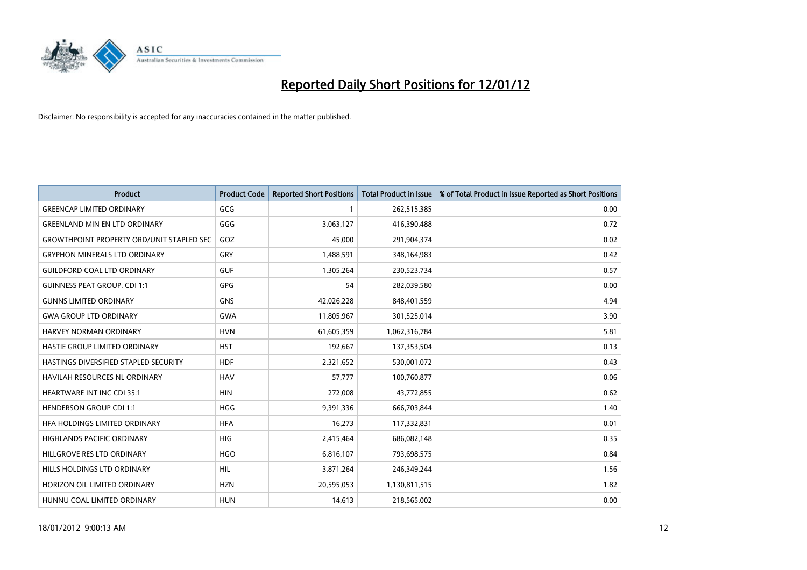

| <b>Product</b>                                   | <b>Product Code</b> | <b>Reported Short Positions</b> | <b>Total Product in Issue</b> | % of Total Product in Issue Reported as Short Positions |
|--------------------------------------------------|---------------------|---------------------------------|-------------------------------|---------------------------------------------------------|
| <b>GREENCAP LIMITED ORDINARY</b>                 | GCG                 | 1                               | 262,515,385                   | 0.00                                                    |
| <b>GREENLAND MIN EN LTD ORDINARY</b>             | GGG                 | 3,063,127                       | 416,390,488                   | 0.72                                                    |
| <b>GROWTHPOINT PROPERTY ORD/UNIT STAPLED SEC</b> | GOZ                 | 45,000                          | 291,904,374                   | 0.02                                                    |
| <b>GRYPHON MINERALS LTD ORDINARY</b>             | GRY                 | 1,488,591                       | 348,164,983                   | 0.42                                                    |
| <b>GUILDFORD COAL LTD ORDINARY</b>               | <b>GUF</b>          | 1,305,264                       | 230,523,734                   | 0.57                                                    |
| <b>GUINNESS PEAT GROUP. CDI 1:1</b>              | GPG                 | 54                              | 282,039,580                   | 0.00                                                    |
| <b>GUNNS LIMITED ORDINARY</b>                    | GNS                 | 42,026,228                      | 848,401,559                   | 4.94                                                    |
| <b>GWA GROUP LTD ORDINARY</b>                    | <b>GWA</b>          | 11,805,967                      | 301,525,014                   | 3.90                                                    |
| <b>HARVEY NORMAN ORDINARY</b>                    | <b>HVN</b>          | 61,605,359                      | 1,062,316,784                 | 5.81                                                    |
| HASTIE GROUP LIMITED ORDINARY                    | <b>HST</b>          | 192,667                         | 137,353,504                   | 0.13                                                    |
| HASTINGS DIVERSIFIED STAPLED SECURITY            | <b>HDF</b>          | 2,321,652                       | 530,001,072                   | 0.43                                                    |
| HAVILAH RESOURCES NL ORDINARY                    | <b>HAV</b>          | 57,777                          | 100,760,877                   | 0.06                                                    |
| <b>HEARTWARE INT INC CDI 35:1</b>                | <b>HIN</b>          | 272,008                         | 43,772,855                    | 0.62                                                    |
| <b>HENDERSON GROUP CDI 1:1</b>                   | <b>HGG</b>          | 9,391,336                       | 666,703,844                   | 1.40                                                    |
| HEA HOLDINGS LIMITED ORDINARY                    | <b>HFA</b>          | 16,273                          | 117,332,831                   | 0.01                                                    |
| HIGHLANDS PACIFIC ORDINARY                       | HIG                 | 2,415,464                       | 686,082,148                   | 0.35                                                    |
| HILLGROVE RES LTD ORDINARY                       | <b>HGO</b>          | 6,816,107                       | 793,698,575                   | 0.84                                                    |
| HILLS HOLDINGS LTD ORDINARY                      | HIL                 | 3,871,264                       | 246,349,244                   | 1.56                                                    |
| HORIZON OIL LIMITED ORDINARY                     | <b>HZN</b>          | 20,595,053                      | 1,130,811,515                 | 1.82                                                    |
| HUNNU COAL LIMITED ORDINARY                      | <b>HUN</b>          | 14,613                          | 218,565,002                   | 0.00                                                    |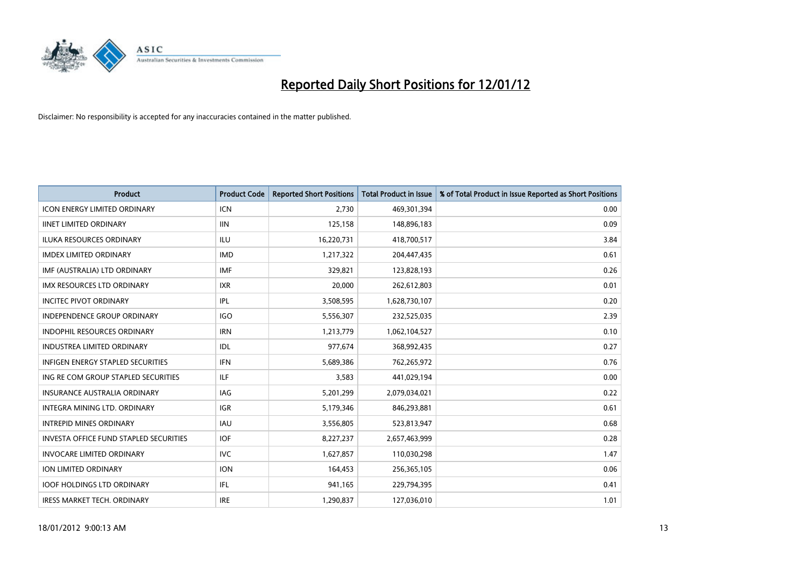

| <b>Product</b>                                | <b>Product Code</b> | <b>Reported Short Positions</b> | <b>Total Product in Issue</b> | % of Total Product in Issue Reported as Short Positions |
|-----------------------------------------------|---------------------|---------------------------------|-------------------------------|---------------------------------------------------------|
| <b>ICON ENERGY LIMITED ORDINARY</b>           | <b>ICN</b>          | 2,730                           | 469,301,394                   | 0.00                                                    |
| <b>IINET LIMITED ORDINARY</b>                 | <b>IIN</b>          | 125,158                         | 148,896,183                   | 0.09                                                    |
| <b>ILUKA RESOURCES ORDINARY</b>               | ILU                 | 16,220,731                      | 418,700,517                   | 3.84                                                    |
| <b>IMDEX LIMITED ORDINARY</b>                 | <b>IMD</b>          | 1,217,322                       | 204,447,435                   | 0.61                                                    |
| IMF (AUSTRALIA) LTD ORDINARY                  | <b>IMF</b>          | 329,821                         | 123,828,193                   | 0.26                                                    |
| <b>IMX RESOURCES LTD ORDINARY</b>             | <b>IXR</b>          | 20,000                          | 262,612,803                   | 0.01                                                    |
| <b>INCITEC PIVOT ORDINARY</b>                 | IPL                 | 3,508,595                       | 1,628,730,107                 | 0.20                                                    |
| INDEPENDENCE GROUP ORDINARY                   | <b>IGO</b>          | 5,556,307                       | 232,525,035                   | 2.39                                                    |
| <b>INDOPHIL RESOURCES ORDINARY</b>            | <b>IRN</b>          | 1,213,779                       | 1,062,104,527                 | 0.10                                                    |
| <b>INDUSTREA LIMITED ORDINARY</b>             | IDL.                | 977,674                         | 368,992,435                   | 0.27                                                    |
| INFIGEN ENERGY STAPLED SECURITIES             | <b>IFN</b>          | 5,689,386                       | 762,265,972                   | 0.76                                                    |
| ING RE COM GROUP STAPLED SECURITIES           | ILF.                | 3,583                           | 441,029,194                   | 0.00                                                    |
| <b>INSURANCE AUSTRALIA ORDINARY</b>           | IAG                 | 5,201,299                       | 2,079,034,021                 | 0.22                                                    |
| INTEGRA MINING LTD, ORDINARY                  | IGR                 | 5,179,346                       | 846,293,881                   | 0.61                                                    |
| <b>INTREPID MINES ORDINARY</b>                | <b>IAU</b>          | 3,556,805                       | 523,813,947                   | 0.68                                                    |
| <b>INVESTA OFFICE FUND STAPLED SECURITIES</b> | <b>IOF</b>          | 8,227,237                       | 2,657,463,999                 | 0.28                                                    |
| <b>INVOCARE LIMITED ORDINARY</b>              | <b>IVC</b>          | 1,627,857                       | 110,030,298                   | 1.47                                                    |
| ION LIMITED ORDINARY                          | <b>ION</b>          | 164,453                         | 256,365,105                   | 0.06                                                    |
| <b>IOOF HOLDINGS LTD ORDINARY</b>             | IFL                 | 941,165                         | 229,794,395                   | 0.41                                                    |
| IRESS MARKET TECH. ORDINARY                   | <b>IRE</b>          | 1,290,837                       | 127,036,010                   | 1.01                                                    |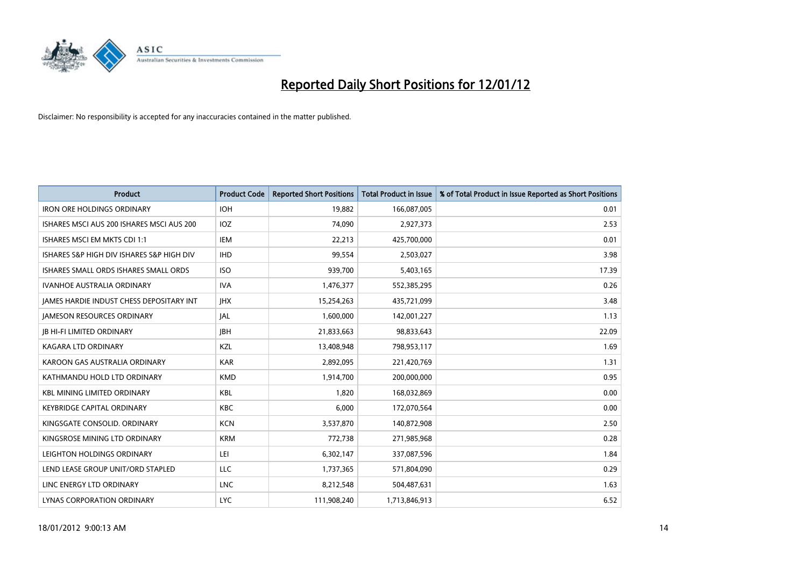

| <b>Product</b>                            | <b>Product Code</b> | <b>Reported Short Positions</b> | <b>Total Product in Issue</b> | % of Total Product in Issue Reported as Short Positions |
|-------------------------------------------|---------------------|---------------------------------|-------------------------------|---------------------------------------------------------|
| <b>IRON ORE HOLDINGS ORDINARY</b>         | <b>IOH</b>          | 19,882                          | 166,087,005                   | 0.01                                                    |
| ISHARES MSCI AUS 200 ISHARES MSCI AUS 200 | IOZ                 | 74,090                          | 2,927,373                     | 2.53                                                    |
| ISHARES MSCI EM MKTS CDI 1:1              | IEM                 | 22,213                          | 425,700,000                   | 0.01                                                    |
| ISHARES S&P HIGH DIV ISHARES S&P HIGH DIV | <b>IHD</b>          | 99,554                          | 2,503,027                     | 3.98                                                    |
| ISHARES SMALL ORDS ISHARES SMALL ORDS     | <b>ISO</b>          | 939,700                         | 5,403,165                     | 17.39                                                   |
| <b>IVANHOE AUSTRALIA ORDINARY</b>         | <b>IVA</b>          | 1,476,377                       | 552,385,295                   | 0.26                                                    |
| JAMES HARDIE INDUST CHESS DEPOSITARY INT  | <b>JHX</b>          | 15,254,263                      | 435,721,099                   | 3.48                                                    |
| <b>JAMESON RESOURCES ORDINARY</b>         | JAL                 | 1,600,000                       | 142,001,227                   | 1.13                                                    |
| <b>JB HI-FI LIMITED ORDINARY</b>          | <b>JBH</b>          | 21,833,663                      | 98,833,643                    | 22.09                                                   |
| <b>KAGARA LTD ORDINARY</b>                | KZL                 | 13,408,948                      | 798,953,117                   | 1.69                                                    |
| KAROON GAS AUSTRALIA ORDINARY             | <b>KAR</b>          | 2,892,095                       | 221,420,769                   | 1.31                                                    |
| KATHMANDU HOLD LTD ORDINARY               | <b>KMD</b>          | 1,914,700                       | 200,000,000                   | 0.95                                                    |
| <b>KBL MINING LIMITED ORDINARY</b>        | <b>KBL</b>          | 1,820                           | 168,032,869                   | 0.00                                                    |
| <b>KEYBRIDGE CAPITAL ORDINARY</b>         | <b>KBC</b>          | 6,000                           | 172,070,564                   | 0.00                                                    |
| KINGSGATE CONSOLID. ORDINARY              | <b>KCN</b>          | 3,537,870                       | 140,872,908                   | 2.50                                                    |
| KINGSROSE MINING LTD ORDINARY             | <b>KRM</b>          | 772,738                         | 271,985,968                   | 0.28                                                    |
| LEIGHTON HOLDINGS ORDINARY                | LEI                 | 6,302,147                       | 337,087,596                   | 1.84                                                    |
| LEND LEASE GROUP UNIT/ORD STAPLED         | LLC                 | 1,737,365                       | 571,804,090                   | 0.29                                                    |
| LINC ENERGY LTD ORDINARY                  | <b>LNC</b>          | 8,212,548                       | 504,487,631                   | 1.63                                                    |
| LYNAS CORPORATION ORDINARY                | <b>LYC</b>          | 111,908,240                     | 1,713,846,913                 | 6.52                                                    |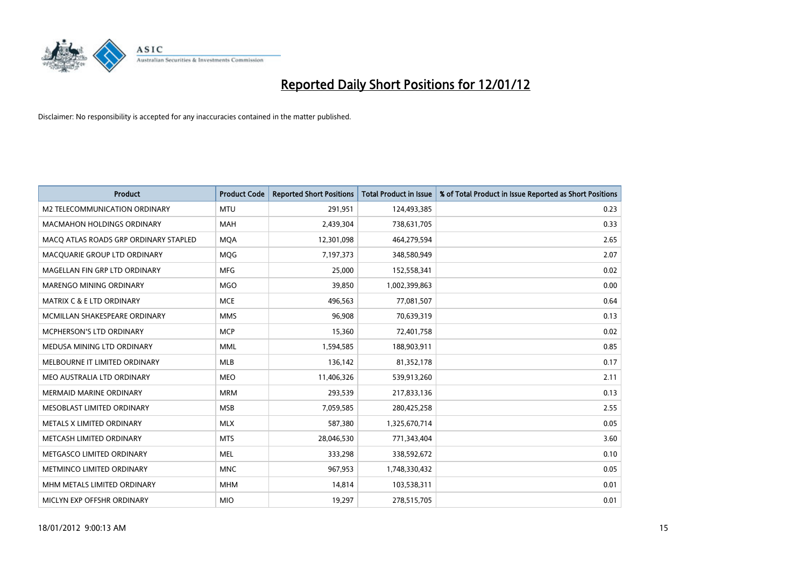

| <b>Product</b>                        | <b>Product Code</b> | <b>Reported Short Positions</b> | <b>Total Product in Issue</b> | % of Total Product in Issue Reported as Short Positions |
|---------------------------------------|---------------------|---------------------------------|-------------------------------|---------------------------------------------------------|
| <b>M2 TELECOMMUNICATION ORDINARY</b>  | <b>MTU</b>          | 291,951                         | 124,493,385                   | 0.23                                                    |
| <b>MACMAHON HOLDINGS ORDINARY</b>     | MAH                 | 2,439,304                       | 738,631,705                   | 0.33                                                    |
| MACO ATLAS ROADS GRP ORDINARY STAPLED | <b>MQA</b>          | 12,301,098                      | 464,279,594                   | 2.65                                                    |
| MACQUARIE GROUP LTD ORDINARY          | <b>MOG</b>          | 7,197,373                       | 348,580,949                   | 2.07                                                    |
| MAGELLAN FIN GRP LTD ORDINARY         | <b>MFG</b>          | 25,000                          | 152,558,341                   | 0.02                                                    |
| MARENGO MINING ORDINARY               | <b>MGO</b>          | 39,850                          | 1,002,399,863                 | 0.00                                                    |
| <b>MATRIX C &amp; E LTD ORDINARY</b>  | <b>MCE</b>          | 496,563                         | 77,081,507                    | 0.64                                                    |
| MCMILLAN SHAKESPEARE ORDINARY         | <b>MMS</b>          | 96,908                          | 70,639,319                    | 0.13                                                    |
| MCPHERSON'S LTD ORDINARY              | <b>MCP</b>          | 15,360                          | 72,401,758                    | 0.02                                                    |
| MEDUSA MINING LTD ORDINARY            | <b>MML</b>          | 1,594,585                       | 188,903,911                   | 0.85                                                    |
| MELBOURNE IT LIMITED ORDINARY         | <b>MLB</b>          | 136,142                         | 81,352,178                    | 0.17                                                    |
| MEO AUSTRALIA LTD ORDINARY            | <b>MEO</b>          | 11,406,326                      | 539,913,260                   | 2.11                                                    |
| MERMAID MARINE ORDINARY               | <b>MRM</b>          | 293,539                         | 217,833,136                   | 0.13                                                    |
| MESOBLAST LIMITED ORDINARY            | <b>MSB</b>          | 7,059,585                       | 280,425,258                   | 2.55                                                    |
| METALS X LIMITED ORDINARY             | <b>MLX</b>          | 587,380                         | 1,325,670,714                 | 0.05                                                    |
| METCASH LIMITED ORDINARY              | <b>MTS</b>          | 28,046,530                      | 771,343,404                   | 3.60                                                    |
| METGASCO LIMITED ORDINARY             | <b>MEL</b>          | 333,298                         | 338,592,672                   | 0.10                                                    |
| METMINCO LIMITED ORDINARY             | <b>MNC</b>          | 967,953                         | 1,748,330,432                 | 0.05                                                    |
| MHM METALS LIMITED ORDINARY           | <b>MHM</b>          | 14,814                          | 103,538,311                   | 0.01                                                    |
| MICLYN EXP OFFSHR ORDINARY            | <b>MIO</b>          | 19,297                          | 278,515,705                   | 0.01                                                    |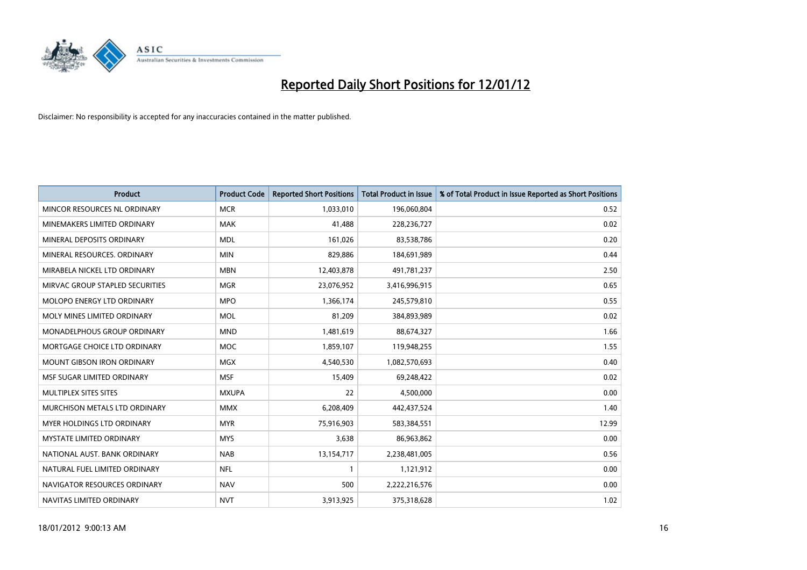

| <b>Product</b>                     | <b>Product Code</b> | <b>Reported Short Positions</b> | <b>Total Product in Issue</b> | % of Total Product in Issue Reported as Short Positions |
|------------------------------------|---------------------|---------------------------------|-------------------------------|---------------------------------------------------------|
| MINCOR RESOURCES NL ORDINARY       | <b>MCR</b>          | 1,033,010                       | 196,060,804                   | 0.52                                                    |
| MINEMAKERS LIMITED ORDINARY        | MAK                 | 41,488                          | 228,236,727                   | 0.02                                                    |
| MINERAL DEPOSITS ORDINARY          | <b>MDL</b>          | 161,026                         | 83,538,786                    | 0.20                                                    |
| MINERAL RESOURCES. ORDINARY        | <b>MIN</b>          | 829,886                         | 184,691,989                   | 0.44                                                    |
| MIRABELA NICKEL LTD ORDINARY       | <b>MBN</b>          | 12,403,878                      | 491,781,237                   | 2.50                                                    |
| MIRVAC GROUP STAPLED SECURITIES    | <b>MGR</b>          | 23,076,952                      | 3,416,996,915                 | 0.65                                                    |
| MOLOPO ENERGY LTD ORDINARY         | <b>MPO</b>          | 1,366,174                       | 245,579,810                   | 0.55                                                    |
| MOLY MINES LIMITED ORDINARY        | MOL                 | 81,209                          | 384,893,989                   | 0.02                                                    |
| <b>MONADELPHOUS GROUP ORDINARY</b> | <b>MND</b>          | 1,481,619                       | 88,674,327                    | 1.66                                                    |
| MORTGAGE CHOICE LTD ORDINARY       | <b>MOC</b>          | 1,859,107                       | 119,948,255                   | 1.55                                                    |
| <b>MOUNT GIBSON IRON ORDINARY</b>  | <b>MGX</b>          | 4,540,530                       | 1,082,570,693                 | 0.40                                                    |
| MSF SUGAR LIMITED ORDINARY         | <b>MSF</b>          | 15,409                          | 69,248,422                    | 0.02                                                    |
| MULTIPLEX SITES SITES              | <b>MXUPA</b>        | 22                              | 4,500,000                     | 0.00                                                    |
| MURCHISON METALS LTD ORDINARY      | <b>MMX</b>          | 6,208,409                       | 442,437,524                   | 1.40                                                    |
| MYER HOLDINGS LTD ORDINARY         | <b>MYR</b>          | 75,916,903                      | 583,384,551                   | 12.99                                                   |
| <b>MYSTATE LIMITED ORDINARY</b>    | <b>MYS</b>          | 3,638                           | 86,963,862                    | 0.00                                                    |
| NATIONAL AUST. BANK ORDINARY       | <b>NAB</b>          | 13,154,717                      | 2,238,481,005                 | 0.56                                                    |
| NATURAL FUEL LIMITED ORDINARY      | <b>NFL</b>          | 1                               | 1,121,912                     | 0.00                                                    |
| NAVIGATOR RESOURCES ORDINARY       | <b>NAV</b>          | 500                             | 2,222,216,576                 | 0.00                                                    |
| NAVITAS LIMITED ORDINARY           | <b>NVT</b>          | 3,913,925                       | 375,318,628                   | 1.02                                                    |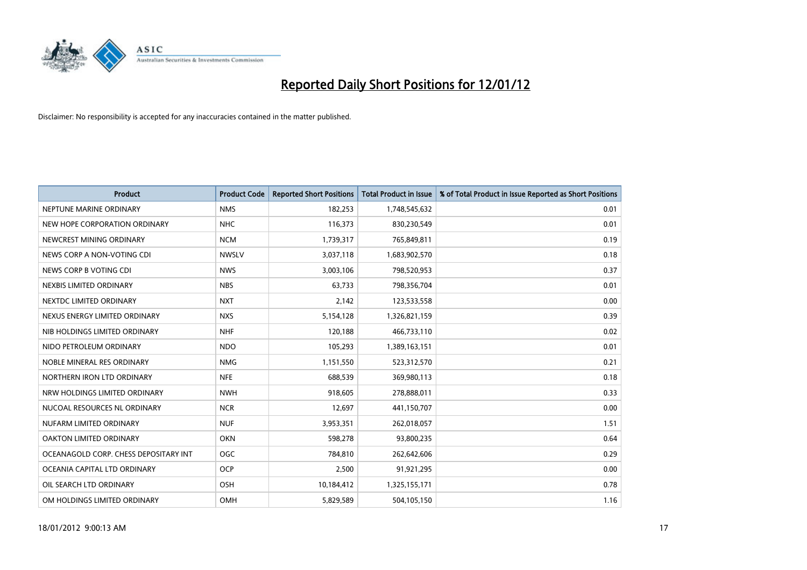

| <b>Product</b>                        | <b>Product Code</b> | <b>Reported Short Positions</b> | <b>Total Product in Issue</b> | % of Total Product in Issue Reported as Short Positions |
|---------------------------------------|---------------------|---------------------------------|-------------------------------|---------------------------------------------------------|
| NEPTUNE MARINE ORDINARY               | <b>NMS</b>          | 182,253                         | 1,748,545,632                 | 0.01                                                    |
| NEW HOPE CORPORATION ORDINARY         | <b>NHC</b>          | 116,373                         | 830,230,549                   | 0.01                                                    |
| NEWCREST MINING ORDINARY              | <b>NCM</b>          | 1,739,317                       | 765,849,811                   | 0.19                                                    |
| NEWS CORP A NON-VOTING CDI            | <b>NWSLV</b>        | 3,037,118                       | 1,683,902,570                 | 0.18                                                    |
| NEWS CORP B VOTING CDI                | <b>NWS</b>          | 3,003,106                       | 798,520,953                   | 0.37                                                    |
| NEXBIS LIMITED ORDINARY               | <b>NBS</b>          | 63,733                          | 798,356,704                   | 0.01                                                    |
| NEXTDC LIMITED ORDINARY               | <b>NXT</b>          | 2,142                           | 123,533,558                   | 0.00                                                    |
| NEXUS ENERGY LIMITED ORDINARY         | <b>NXS</b>          | 5,154,128                       | 1,326,821,159                 | 0.39                                                    |
| NIB HOLDINGS LIMITED ORDINARY         | <b>NHF</b>          | 120,188                         | 466,733,110                   | 0.02                                                    |
| NIDO PETROLEUM ORDINARY               | <b>NDO</b>          | 105,293                         | 1,389,163,151                 | 0.01                                                    |
| NOBLE MINERAL RES ORDINARY            | <b>NMG</b>          | 1,151,550                       | 523,312,570                   | 0.21                                                    |
| NORTHERN IRON LTD ORDINARY            | <b>NFE</b>          | 688,539                         | 369,980,113                   | 0.18                                                    |
| NRW HOLDINGS LIMITED ORDINARY         | <b>NWH</b>          | 918,605                         | 278,888,011                   | 0.33                                                    |
| NUCOAL RESOURCES NL ORDINARY          | <b>NCR</b>          | 12,697                          | 441,150,707                   | 0.00                                                    |
| NUFARM LIMITED ORDINARY               | <b>NUF</b>          | 3,953,351                       | 262,018,057                   | 1.51                                                    |
| OAKTON LIMITED ORDINARY               | <b>OKN</b>          | 598,278                         | 93,800,235                    | 0.64                                                    |
| OCEANAGOLD CORP. CHESS DEPOSITARY INT | <b>OGC</b>          | 784,810                         | 262,642,606                   | 0.29                                                    |
| OCEANIA CAPITAL LTD ORDINARY          | <b>OCP</b>          | 2,500                           | 91,921,295                    | 0.00                                                    |
| OIL SEARCH LTD ORDINARY               | OSH                 | 10,184,412                      | 1,325,155,171                 | 0.78                                                    |
| OM HOLDINGS LIMITED ORDINARY          | OMH                 | 5,829,589                       | 504,105,150                   | 1.16                                                    |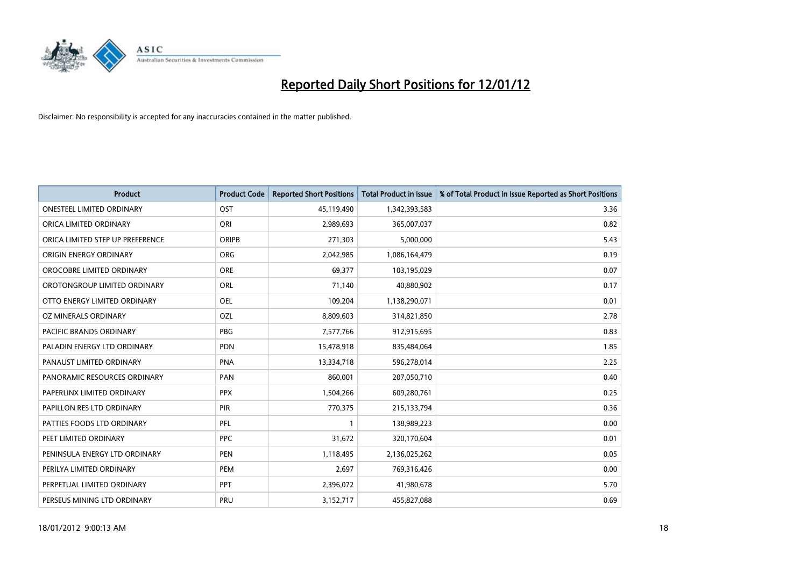

| <b>Product</b>                   | <b>Product Code</b> | <b>Reported Short Positions</b> | <b>Total Product in Issue</b> | % of Total Product in Issue Reported as Short Positions |
|----------------------------------|---------------------|---------------------------------|-------------------------------|---------------------------------------------------------|
| <b>ONESTEEL LIMITED ORDINARY</b> | OST                 | 45,119,490                      | 1,342,393,583                 | 3.36                                                    |
| ORICA LIMITED ORDINARY           | ORI                 | 2,989,693                       | 365,007,037                   | 0.82                                                    |
| ORICA LIMITED STEP UP PREFERENCE | <b>ORIPB</b>        | 271,303                         | 5,000,000                     | 5.43                                                    |
| ORIGIN ENERGY ORDINARY           | <b>ORG</b>          | 2,042,985                       | 1,086,164,479                 | 0.19                                                    |
| OROCOBRE LIMITED ORDINARY        | <b>ORE</b>          | 69,377                          | 103,195,029                   | 0.07                                                    |
| OROTONGROUP LIMITED ORDINARY     | ORL                 | 71,140                          | 40,880,902                    | 0.17                                                    |
| OTTO ENERGY LIMITED ORDINARY     | OEL                 | 109,204                         | 1,138,290,071                 | 0.01                                                    |
| <b>OZ MINERALS ORDINARY</b>      | OZL                 | 8,809,603                       | 314,821,850                   | 2.78                                                    |
| <b>PACIFIC BRANDS ORDINARY</b>   | <b>PBG</b>          | 7,577,766                       | 912,915,695                   | 0.83                                                    |
| PALADIN ENERGY LTD ORDINARY      | <b>PDN</b>          | 15,478,918                      | 835,484,064                   | 1.85                                                    |
| PANAUST LIMITED ORDINARY         | <b>PNA</b>          | 13,334,718                      | 596,278,014                   | 2.25                                                    |
| PANORAMIC RESOURCES ORDINARY     | PAN                 | 860,001                         | 207,050,710                   | 0.40                                                    |
| PAPERLINX LIMITED ORDINARY       | <b>PPX</b>          | 1,504,266                       | 609,280,761                   | 0.25                                                    |
| PAPILLON RES LTD ORDINARY        | PIR                 | 770,375                         | 215,133,794                   | 0.36                                                    |
| PATTIES FOODS LTD ORDINARY       | PFL                 | $\mathbf{1}$                    | 138,989,223                   | 0.00                                                    |
| PEET LIMITED ORDINARY            | <b>PPC</b>          | 31,672                          | 320,170,604                   | 0.01                                                    |
| PENINSULA ENERGY LTD ORDINARY    | <b>PEN</b>          | 1,118,495                       | 2,136,025,262                 | 0.05                                                    |
| PERILYA LIMITED ORDINARY         | <b>PEM</b>          | 2,697                           | 769,316,426                   | 0.00                                                    |
| PERPETUAL LIMITED ORDINARY       | <b>PPT</b>          | 2,396,072                       | 41,980,678                    | 5.70                                                    |
| PERSEUS MINING LTD ORDINARY      | PRU                 | 3,152,717                       | 455,827,088                   | 0.69                                                    |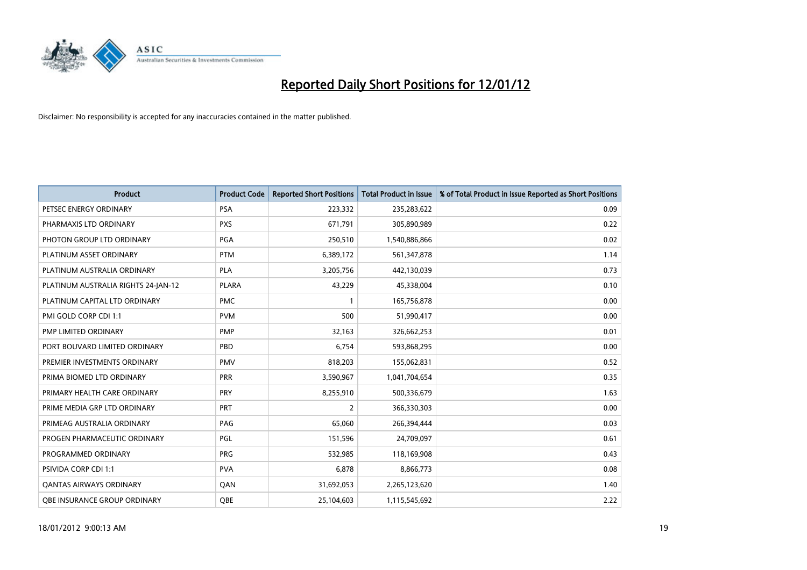

| <b>Product</b>                      | <b>Product Code</b> | <b>Reported Short Positions</b> | <b>Total Product in Issue</b> | % of Total Product in Issue Reported as Short Positions |
|-------------------------------------|---------------------|---------------------------------|-------------------------------|---------------------------------------------------------|
| PETSEC ENERGY ORDINARY              | <b>PSA</b>          | 223,332                         | 235,283,622                   | 0.09                                                    |
| PHARMAXIS LTD ORDINARY              | <b>PXS</b>          | 671,791                         | 305,890,989                   | 0.22                                                    |
| PHOTON GROUP LTD ORDINARY           | PGA                 | 250,510                         | 1,540,886,866                 | 0.02                                                    |
| PLATINUM ASSET ORDINARY             | <b>PTM</b>          | 6,389,172                       | 561,347,878                   | 1.14                                                    |
| PLATINUM AUSTRALIA ORDINARY         | PLA                 | 3,205,756                       | 442,130,039                   | 0.73                                                    |
| PLATINUM AUSTRALIA RIGHTS 24-JAN-12 | <b>PLARA</b>        | 43,229                          | 45,338,004                    | 0.10                                                    |
| PLATINUM CAPITAL LTD ORDINARY       | <b>PMC</b>          | $\mathbf{1}$                    | 165,756,878                   | 0.00                                                    |
| PMI GOLD CORP CDI 1:1               | <b>PVM</b>          | 500                             | 51,990,417                    | 0.00                                                    |
| PMP LIMITED ORDINARY                | <b>PMP</b>          | 32,163                          | 326,662,253                   | 0.01                                                    |
| PORT BOUVARD LIMITED ORDINARY       | PBD                 | 6,754                           | 593,868,295                   | 0.00                                                    |
| PREMIER INVESTMENTS ORDINARY        | <b>PMV</b>          | 818,203                         | 155,062,831                   | 0.52                                                    |
| PRIMA BIOMED LTD ORDINARY           | <b>PRR</b>          | 3,590,967                       | 1,041,704,654                 | 0.35                                                    |
| PRIMARY HEALTH CARE ORDINARY        | <b>PRY</b>          | 8,255,910                       | 500,336,679                   | 1.63                                                    |
| PRIME MEDIA GRP LTD ORDINARY        | <b>PRT</b>          | $\overline{2}$                  | 366,330,303                   | 0.00                                                    |
| PRIMEAG AUSTRALIA ORDINARY          | PAG                 | 65,060                          | 266,394,444                   | 0.03                                                    |
| PROGEN PHARMACEUTIC ORDINARY        | PGL                 | 151,596                         | 24,709,097                    | 0.61                                                    |
| PROGRAMMED ORDINARY                 | <b>PRG</b>          | 532,985                         | 118,169,908                   | 0.43                                                    |
| <b>PSIVIDA CORP CDI 1:1</b>         | <b>PVA</b>          | 6,878                           | 8,866,773                     | 0.08                                                    |
| <b>QANTAS AIRWAYS ORDINARY</b>      | QAN                 | 31,692,053                      | 2,265,123,620                 | 1.40                                                    |
| <b>OBE INSURANCE GROUP ORDINARY</b> | <b>OBE</b>          | 25,104,603                      | 1,115,545,692                 | 2.22                                                    |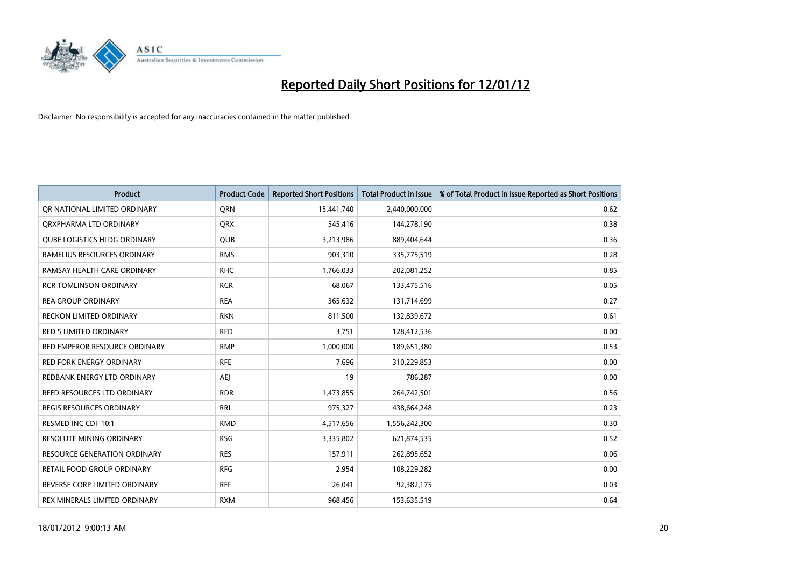

| <b>Product</b>                      | <b>Product Code</b> | <b>Reported Short Positions</b> | <b>Total Product in Issue</b> | % of Total Product in Issue Reported as Short Positions |
|-------------------------------------|---------------------|---------------------------------|-------------------------------|---------------------------------------------------------|
| OR NATIONAL LIMITED ORDINARY        | <b>ORN</b>          | 15,441,740                      | 2,440,000,000                 | 0.62                                                    |
| ORXPHARMA LTD ORDINARY              | <b>QRX</b>          | 545,416                         | 144,278,190                   | 0.38                                                    |
| QUBE LOGISTICS HLDG ORDINARY        | <b>QUB</b>          | 3,213,986                       | 889,404,644                   | 0.36                                                    |
| RAMELIUS RESOURCES ORDINARY         | <b>RMS</b>          | 903,310                         | 335,775,519                   | 0.28                                                    |
| RAMSAY HEALTH CARE ORDINARY         | <b>RHC</b>          | 1,766,033                       | 202,081,252                   | 0.85                                                    |
| <b>RCR TOMLINSON ORDINARY</b>       | <b>RCR</b>          | 68,067                          | 133,475,516                   | 0.05                                                    |
| <b>REA GROUP ORDINARY</b>           | <b>REA</b>          | 365,632                         | 131,714,699                   | 0.27                                                    |
| RECKON LIMITED ORDINARY             | <b>RKN</b>          | 811,500                         | 132,839,672                   | 0.61                                                    |
| <b>RED 5 LIMITED ORDINARY</b>       | <b>RED</b>          | 3,751                           | 128,412,536                   | 0.00                                                    |
| RED EMPEROR RESOURCE ORDINARY       | <b>RMP</b>          | 1,000,000                       | 189,651,380                   | 0.53                                                    |
| RED FORK ENERGY ORDINARY            | <b>RFE</b>          | 7,696                           | 310,229,853                   | 0.00                                                    |
| REDBANK ENERGY LTD ORDINARY         | AEJ                 | 19                              | 786,287                       | 0.00                                                    |
| REED RESOURCES LTD ORDINARY         | <b>RDR</b>          | 1,473,855                       | 264,742,501                   | 0.56                                                    |
| <b>REGIS RESOURCES ORDINARY</b>     | <b>RRL</b>          | 975,327                         | 438,664,248                   | 0.23                                                    |
| RESMED INC CDI 10:1                 | <b>RMD</b>          | 4,517,656                       | 1,556,242,300                 | 0.30                                                    |
| RESOLUTE MINING ORDINARY            | <b>RSG</b>          | 3,335,802                       | 621,874,535                   | 0.52                                                    |
| <b>RESOURCE GENERATION ORDINARY</b> | <b>RES</b>          | 157,911                         | 262,895,652                   | 0.06                                                    |
| RETAIL FOOD GROUP ORDINARY          | <b>RFG</b>          | 2,954                           | 108,229,282                   | 0.00                                                    |
| REVERSE CORP LIMITED ORDINARY       | <b>REF</b>          | 26,041                          | 92,382,175                    | 0.03                                                    |
| REX MINERALS LIMITED ORDINARY       | <b>RXM</b>          | 968,456                         | 153,635,519                   | 0.64                                                    |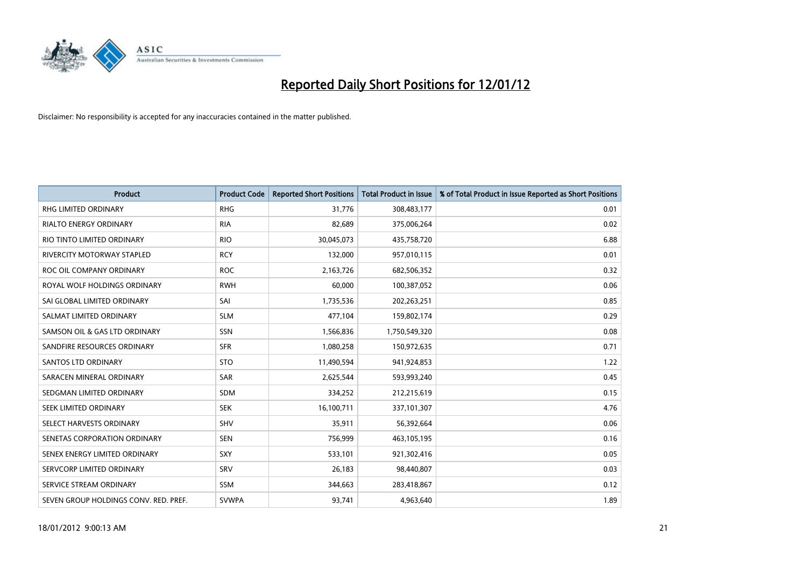

| <b>Product</b>                        | <b>Product Code</b> | <b>Reported Short Positions</b> | <b>Total Product in Issue</b> | % of Total Product in Issue Reported as Short Positions |
|---------------------------------------|---------------------|---------------------------------|-------------------------------|---------------------------------------------------------|
| <b>RHG LIMITED ORDINARY</b>           | <b>RHG</b>          | 31,776                          | 308,483,177                   | 0.01                                                    |
| <b>RIALTO ENERGY ORDINARY</b>         | <b>RIA</b>          | 82,689                          | 375,006,264                   | 0.02                                                    |
| RIO TINTO LIMITED ORDINARY            | <b>RIO</b>          | 30,045,073                      | 435,758,720                   | 6.88                                                    |
| <b>RIVERCITY MOTORWAY STAPLED</b>     | <b>RCY</b>          | 132,000                         | 957,010,115                   | 0.01                                                    |
| ROC OIL COMPANY ORDINARY              | <b>ROC</b>          | 2,163,726                       | 682,506,352                   | 0.32                                                    |
| ROYAL WOLF HOLDINGS ORDINARY          | <b>RWH</b>          | 60,000                          | 100,387,052                   | 0.06                                                    |
| SAI GLOBAL LIMITED ORDINARY           | SAI                 | 1,735,536                       | 202,263,251                   | 0.85                                                    |
| SALMAT LIMITED ORDINARY               | <b>SLM</b>          | 477,104                         | 159,802,174                   | 0.29                                                    |
| SAMSON OIL & GAS LTD ORDINARY         | SSN                 | 1,566,836                       | 1,750,549,320                 | 0.08                                                    |
| SANDFIRE RESOURCES ORDINARY           | <b>SFR</b>          | 1,080,258                       | 150,972,635                   | 0.71                                                    |
| <b>SANTOS LTD ORDINARY</b>            | <b>STO</b>          | 11,490,594                      | 941,924,853                   | 1.22                                                    |
| SARACEN MINERAL ORDINARY              | SAR                 | 2,625,544                       | 593,993,240                   | 0.45                                                    |
| SEDGMAN LIMITED ORDINARY              | SDM                 | 334,252                         | 212,215,619                   | 0.15                                                    |
| SEEK LIMITED ORDINARY                 | <b>SEK</b>          | 16,100,711                      | 337,101,307                   | 4.76                                                    |
| SELECT HARVESTS ORDINARY              | SHV                 | 35,911                          | 56,392,664                    | 0.06                                                    |
| SENETAS CORPORATION ORDINARY          | <b>SEN</b>          | 756,999                         | 463,105,195                   | 0.16                                                    |
| SENEX ENERGY LIMITED ORDINARY         | SXY                 | 533,101                         | 921,302,416                   | 0.05                                                    |
| SERVCORP LIMITED ORDINARY             | SRV                 | 26,183                          | 98,440,807                    | 0.03                                                    |
| SERVICE STREAM ORDINARY               | <b>SSM</b>          | 344,663                         | 283,418,867                   | 0.12                                                    |
| SEVEN GROUP HOLDINGS CONV. RED. PREF. | <b>SVWPA</b>        | 93,741                          | 4,963,640                     | 1.89                                                    |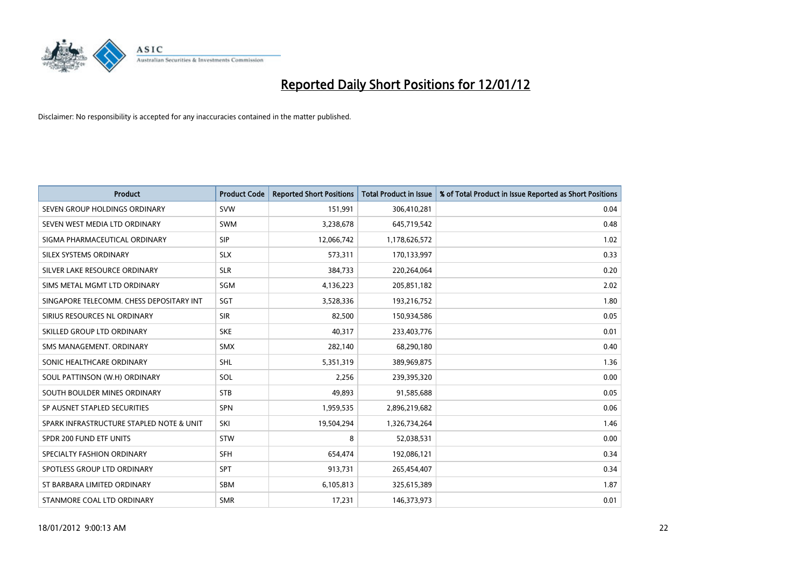

| <b>Product</b>                           | <b>Product Code</b> | <b>Reported Short Positions</b> | <b>Total Product in Issue</b> | % of Total Product in Issue Reported as Short Positions |
|------------------------------------------|---------------------|---------------------------------|-------------------------------|---------------------------------------------------------|
| SEVEN GROUP HOLDINGS ORDINARY            | <b>SVW</b>          | 151,991                         | 306,410,281                   | 0.04                                                    |
| SEVEN WEST MEDIA LTD ORDINARY            | <b>SWM</b>          | 3,238,678                       | 645,719,542                   | 0.48                                                    |
| SIGMA PHARMACEUTICAL ORDINARY            | <b>SIP</b>          | 12,066,742                      | 1,178,626,572                 | 1.02                                                    |
| SILEX SYSTEMS ORDINARY                   | <b>SLX</b>          | 573,311                         | 170,133,997                   | 0.33                                                    |
| SILVER LAKE RESOURCE ORDINARY            | <b>SLR</b>          | 384,733                         | 220,264,064                   | 0.20                                                    |
| SIMS METAL MGMT LTD ORDINARY             | SGM                 | 4,136,223                       | 205,851,182                   | 2.02                                                    |
| SINGAPORE TELECOMM. CHESS DEPOSITARY INT | <b>SGT</b>          | 3,528,336                       | 193,216,752                   | 1.80                                                    |
| SIRIUS RESOURCES NL ORDINARY             | <b>SIR</b>          | 82,500                          | 150,934,586                   | 0.05                                                    |
| SKILLED GROUP LTD ORDINARY               | <b>SKE</b>          | 40,317                          | 233,403,776                   | 0.01                                                    |
| SMS MANAGEMENT, ORDINARY                 | <b>SMX</b>          | 282,140                         | 68,290,180                    | 0.40                                                    |
| SONIC HEALTHCARE ORDINARY                | <b>SHL</b>          | 5,351,319                       | 389,969,875                   | 1.36                                                    |
| SOUL PATTINSON (W.H) ORDINARY            | SOL                 | 2,256                           | 239,395,320                   | 0.00                                                    |
| SOUTH BOULDER MINES ORDINARY             | <b>STB</b>          | 49,893                          | 91,585,688                    | 0.05                                                    |
| SP AUSNET STAPLED SECURITIES             | SPN                 | 1,959,535                       | 2,896,219,682                 | 0.06                                                    |
| SPARK INFRASTRUCTURE STAPLED NOTE & UNIT | SKI                 | 19,504,294                      | 1,326,734,264                 | 1.46                                                    |
| SPDR 200 FUND ETF UNITS                  | <b>STW</b>          | 8                               | 52,038,531                    | 0.00                                                    |
| SPECIALTY FASHION ORDINARY               | <b>SFH</b>          | 654,474                         | 192,086,121                   | 0.34                                                    |
| SPOTLESS GROUP LTD ORDINARY              | <b>SPT</b>          | 913,731                         | 265,454,407                   | 0.34                                                    |
| ST BARBARA LIMITED ORDINARY              | <b>SBM</b>          | 6,105,813                       | 325,615,389                   | 1.87                                                    |
| STANMORE COAL LTD ORDINARY               | <b>SMR</b>          | 17,231                          | 146,373,973                   | 0.01                                                    |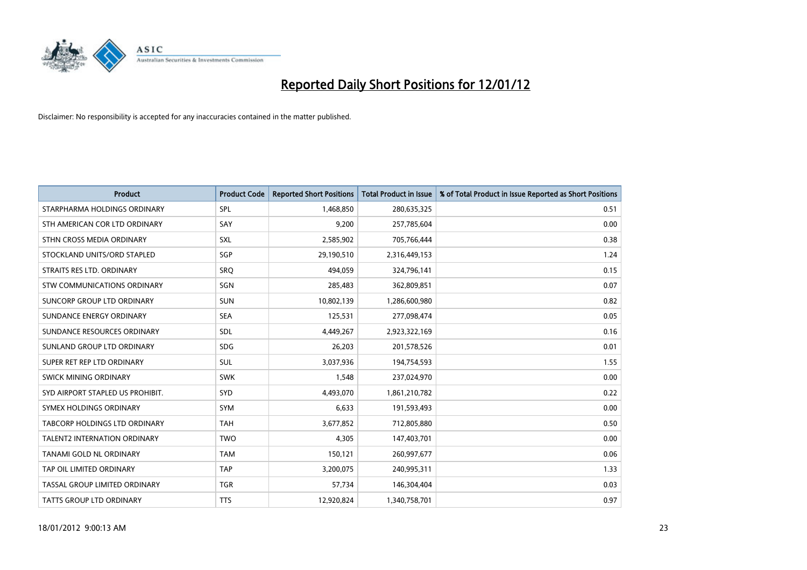

| <b>Product</b>                      | <b>Product Code</b> | <b>Reported Short Positions</b> | <b>Total Product in Issue</b> | % of Total Product in Issue Reported as Short Positions |
|-------------------------------------|---------------------|---------------------------------|-------------------------------|---------------------------------------------------------|
| STARPHARMA HOLDINGS ORDINARY        | SPL                 | 1,468,850                       | 280,635,325                   | 0.51                                                    |
| STH AMERICAN COR LTD ORDINARY       | SAY                 | 9,200                           | 257,785,604                   | 0.00                                                    |
| STHN CROSS MEDIA ORDINARY           | <b>SXL</b>          | 2,585,902                       | 705,766,444                   | 0.38                                                    |
| STOCKLAND UNITS/ORD STAPLED         | SGP                 | 29,190,510                      | 2,316,449,153                 | 1.24                                                    |
| STRAITS RES LTD. ORDINARY           | SRO                 | 494,059                         | 324,796,141                   | 0.15                                                    |
| STW COMMUNICATIONS ORDINARY         | SGN                 | 285,483                         | 362,809,851                   | 0.07                                                    |
| <b>SUNCORP GROUP LTD ORDINARY</b>   | <b>SUN</b>          | 10,802,139                      | 1,286,600,980                 | 0.82                                                    |
| SUNDANCE ENERGY ORDINARY            | <b>SEA</b>          | 125,531                         | 277,098,474                   | 0.05                                                    |
| SUNDANCE RESOURCES ORDINARY         | <b>SDL</b>          | 4,449,267                       | 2,923,322,169                 | 0.16                                                    |
| SUNLAND GROUP LTD ORDINARY          | <b>SDG</b>          | 26,203                          | 201,578,526                   | 0.01                                                    |
| SUPER RET REP LTD ORDINARY          | <b>SUL</b>          | 3,037,936                       | 194,754,593                   | 1.55                                                    |
| SWICK MINING ORDINARY               | <b>SWK</b>          | 1,548                           | 237,024,970                   | 0.00                                                    |
| SYD AIRPORT STAPLED US PROHIBIT.    | <b>SYD</b>          | 4,493,070                       | 1,861,210,782                 | 0.22                                                    |
| SYMEX HOLDINGS ORDINARY             | <b>SYM</b>          | 6,633                           | 191,593,493                   | 0.00                                                    |
| TABCORP HOLDINGS LTD ORDINARY       | <b>TAH</b>          | 3,677,852                       | 712,805,880                   | 0.50                                                    |
| <b>TALENT2 INTERNATION ORDINARY</b> | <b>TWO</b>          | 4,305                           | 147,403,701                   | 0.00                                                    |
| TANAMI GOLD NL ORDINARY             | <b>TAM</b>          | 150,121                         | 260,997,677                   | 0.06                                                    |
| TAP OIL LIMITED ORDINARY            | <b>TAP</b>          | 3,200,075                       | 240,995,311                   | 1.33                                                    |
| TASSAL GROUP LIMITED ORDINARY       | <b>TGR</b>          | 57,734                          | 146,304,404                   | 0.03                                                    |
| TATTS GROUP LTD ORDINARY            | <b>TTS</b>          | 12,920,824                      | 1,340,758,701                 | 0.97                                                    |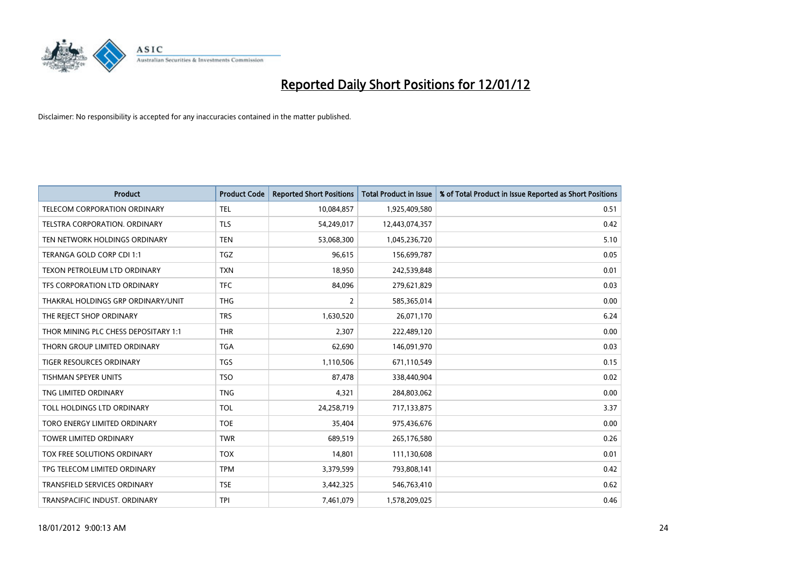

| <b>Product</b>                       | <b>Product Code</b> | <b>Reported Short Positions</b> | <b>Total Product in Issue</b> | % of Total Product in Issue Reported as Short Positions |
|--------------------------------------|---------------------|---------------------------------|-------------------------------|---------------------------------------------------------|
| TELECOM CORPORATION ORDINARY         | <b>TEL</b>          | 10,084,857                      | 1,925,409,580                 | 0.51                                                    |
| TELSTRA CORPORATION. ORDINARY        | <b>TLS</b>          | 54,249,017                      | 12,443,074,357                | 0.42                                                    |
| TEN NETWORK HOLDINGS ORDINARY        | <b>TEN</b>          | 53,068,300                      | 1,045,236,720                 | 5.10                                                    |
| TERANGA GOLD CORP CDI 1:1            | <b>TGZ</b>          | 96,615                          | 156,699,787                   | 0.05                                                    |
| <b>TEXON PETROLEUM LTD ORDINARY</b>  | <b>TXN</b>          | 18,950                          | 242,539,848                   | 0.01                                                    |
| TFS CORPORATION LTD ORDINARY         | <b>TFC</b>          | 84,096                          | 279,621,829                   | 0.03                                                    |
| THAKRAL HOLDINGS GRP ORDINARY/UNIT   | <b>THG</b>          | $\overline{2}$                  | 585,365,014                   | 0.00                                                    |
| THE REJECT SHOP ORDINARY             | <b>TRS</b>          | 1,630,520                       | 26,071,170                    | 6.24                                                    |
| THOR MINING PLC CHESS DEPOSITARY 1:1 | <b>THR</b>          | 2,307                           | 222,489,120                   | 0.00                                                    |
| THORN GROUP LIMITED ORDINARY         | <b>TGA</b>          | 62,690                          | 146,091,970                   | 0.03                                                    |
| <b>TIGER RESOURCES ORDINARY</b>      | <b>TGS</b>          | 1,110,506                       | 671,110,549                   | 0.15                                                    |
| <b>TISHMAN SPEYER UNITS</b>          | <b>TSO</b>          | 87,478                          | 338,440,904                   | 0.02                                                    |
| TNG LIMITED ORDINARY                 | <b>TNG</b>          | 4,321                           | 284,803,062                   | 0.00                                                    |
| TOLL HOLDINGS LTD ORDINARY           | <b>TOL</b>          | 24,258,719                      | 717,133,875                   | 3.37                                                    |
| TORO ENERGY LIMITED ORDINARY         | <b>TOE</b>          | 35,404                          | 975,436,676                   | 0.00                                                    |
| <b>TOWER LIMITED ORDINARY</b>        | <b>TWR</b>          | 689,519                         | 265,176,580                   | 0.26                                                    |
| <b>TOX FREE SOLUTIONS ORDINARY</b>   | <b>TOX</b>          | 14,801                          | 111,130,608                   | 0.01                                                    |
| TPG TELECOM LIMITED ORDINARY         | <b>TPM</b>          | 3,379,599                       | 793,808,141                   | 0.42                                                    |
| <b>TRANSFIELD SERVICES ORDINARY</b>  | <b>TSE</b>          | 3,442,325                       | 546,763,410                   | 0.62                                                    |
| TRANSPACIFIC INDUST. ORDINARY        | TPI                 | 7,461,079                       | 1,578,209,025                 | 0.46                                                    |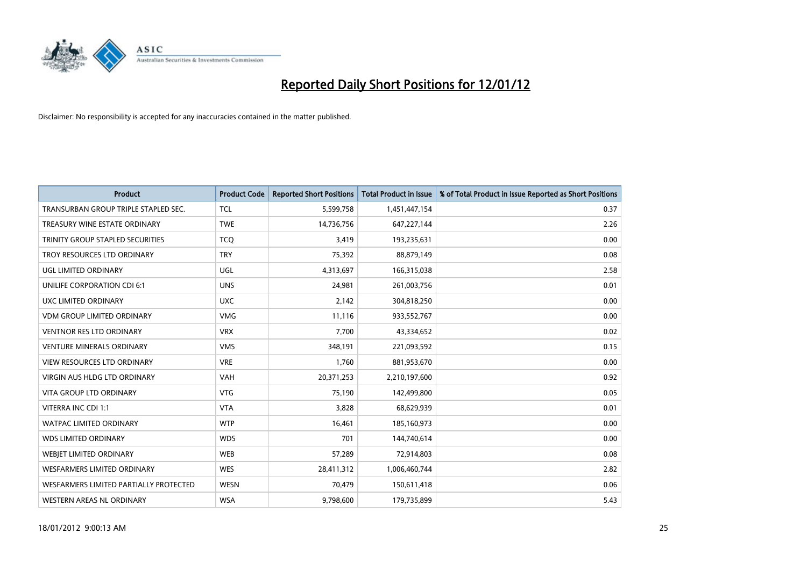

| <b>Product</b>                          | <b>Product Code</b> | <b>Reported Short Positions</b> | <b>Total Product in Issue</b> | % of Total Product in Issue Reported as Short Positions |
|-----------------------------------------|---------------------|---------------------------------|-------------------------------|---------------------------------------------------------|
| TRANSURBAN GROUP TRIPLE STAPLED SEC.    | <b>TCL</b>          | 5,599,758                       | 1,451,447,154                 | 0.37                                                    |
| TREASURY WINE ESTATE ORDINARY           | <b>TWE</b>          | 14,736,756                      | 647,227,144                   | 2.26                                                    |
| <b>TRINITY GROUP STAPLED SECURITIES</b> | <b>TCO</b>          | 3,419                           | 193,235,631                   | 0.00                                                    |
| TROY RESOURCES LTD ORDINARY             | <b>TRY</b>          | 75,392                          | 88,879,149                    | 0.08                                                    |
| <b>UGL LIMITED ORDINARY</b>             | UGL                 | 4,313,697                       | 166,315,038                   | 2.58                                                    |
| UNILIFE CORPORATION CDI 6:1             | <b>UNS</b>          | 24,981                          | 261,003,756                   | 0.01                                                    |
| UXC LIMITED ORDINARY                    | <b>UXC</b>          | 2,142                           | 304,818,250                   | 0.00                                                    |
| <b>VDM GROUP LIMITED ORDINARY</b>       | <b>VMG</b>          | 11,116                          | 933,552,767                   | 0.00                                                    |
| VENTNOR RES LTD ORDINARY                | <b>VRX</b>          | 7,700                           | 43,334,652                    | 0.02                                                    |
| <b>VENTURE MINERALS ORDINARY</b>        | <b>VMS</b>          | 348,191                         | 221,093,592                   | 0.15                                                    |
| <b>VIEW RESOURCES LTD ORDINARY</b>      | <b>VRE</b>          | 1,760                           | 881,953,670                   | 0.00                                                    |
| <b>VIRGIN AUS HLDG LTD ORDINARY</b>     | <b>VAH</b>          | 20,371,253                      | 2,210,197,600                 | 0.92                                                    |
| <b>VITA GROUP LTD ORDINARY</b>          | <b>VTG</b>          | 75,190                          | 142,499,800                   | 0.05                                                    |
| VITERRA INC CDI 1:1                     | <b>VTA</b>          | 3,828                           | 68,629,939                    | 0.01                                                    |
| <b>WATPAC LIMITED ORDINARY</b>          | <b>WTP</b>          | 16,461                          | 185,160,973                   | 0.00                                                    |
| <b>WDS LIMITED ORDINARY</b>             | <b>WDS</b>          | 701                             | 144,740,614                   | 0.00                                                    |
| <b>WEBJET LIMITED ORDINARY</b>          | <b>WEB</b>          | 57,289                          | 72,914,803                    | 0.08                                                    |
| <b>WESFARMERS LIMITED ORDINARY</b>      | <b>WES</b>          | 28,411,312                      | 1,006,460,744                 | 2.82                                                    |
| WESFARMERS LIMITED PARTIALLY PROTECTED  | <b>WESN</b>         | 70,479                          | 150,611,418                   | 0.06                                                    |
| WESTERN AREAS NL ORDINARY               | <b>WSA</b>          | 9,798,600                       | 179,735,899                   | 5.43                                                    |